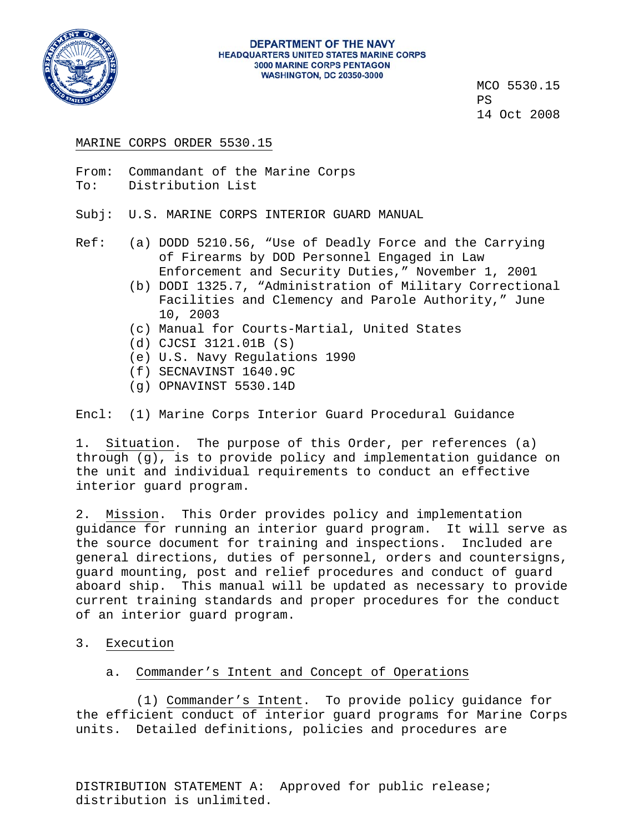

#### **DEPARTMENT OF THE NAVY HEADQUARTERS UNITED STATES MARINE CORPS** 3000 MARINE CORPS PENTAGON **WASHINGTON, DC 20350-3000**

 MCO 5530.15 14 Oct 2008

# MARINE CORPS ORDER 5530.15

From: Commandant of the Marine Corps To: Distribution List

Subj: U.S. MARINE CORPS INTERIOR GUARD MANUAL

- Ref: (a) DODD 5210.56, "Use of Deadly Force and the Carrying of Firearms by DOD Personnel Engaged in Law Enforcement and Security Duties," November 1, 2001
	- (b) DODI 1325.7, "Administration of Military Correctional Facilities and Clemency and Parole Authority," June 10, 2003
	- (c) Manual for Courts-Martial, United States
	- (d) CJCSI 3121.01B (S)
	- (e) U.S. Navy Regulations 1990
	- (f) SECNAVINST 1640.9C
	- (g) OPNAVINST 5530.14D

Encl: (1) Marine Corps Interior Guard Procedural Guidance

1. Situation. The purpose of this Order, per references (a) through (g), is to provide policy and implementation guidance on the unit and individual requirements to conduct an effective interior guard program.

2. Mission. This Order provides policy and implementation guidance for running an interior guard program. It will serve as the source document for training and inspections. Included are general directions, duties of personnel, orders and countersigns, guard mounting, post and relief procedures and conduct of guard aboard ship. This manual will be updated as necessary to provide current training standards and proper procedures for the conduct of an interior guard program.

3. Execution

# a. Commander's Intent and Concept of Operations

 (1) Commander's Intent. To provide policy guidance for the efficient conduct of interior guard programs for Marine Corps units. Detailed definitions, policies and procedures are

DISTRIBUTION STATEMENT A: Approved for public release; distribution is unlimited.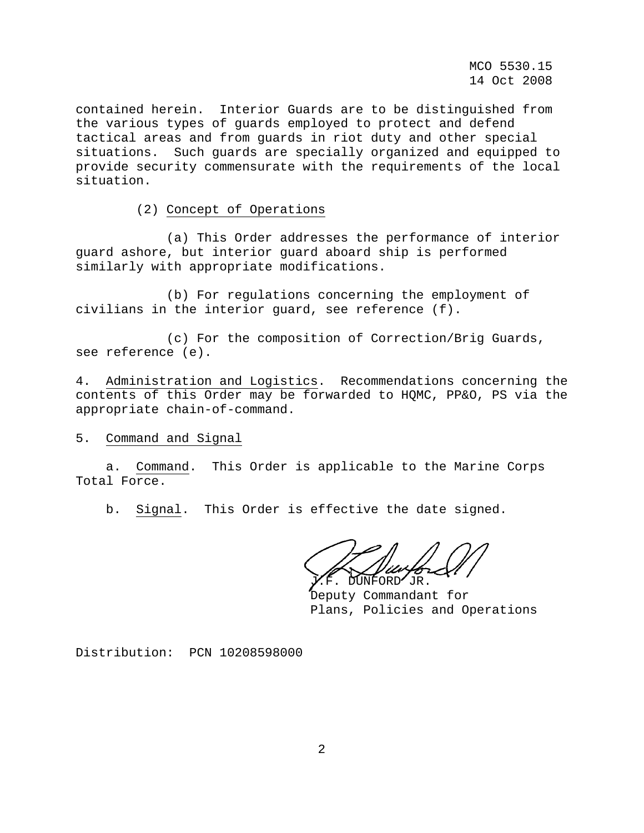MCO 5530.15 14 Oct 2008

contained herein. Interior Guards are to be distinguished from the various types of guards employed to protect and defend tactical areas and from guards in riot duty and other special situations. Such guards are specially organized and equipped to provide security commensurate with the requirements of the local situation.

(2) Concept of Operations

 (a) This Order addresses the performance of interior guard ashore, but interior guard aboard ship is performed similarly with appropriate modifications.

 (b) For regulations concerning the employment of civilians in the interior guard, see reference (f).

 (c) For the composition of Correction/Brig Guards, see reference (e).

4. Administration and Logistics. Recommendations concerning the contents of this Order may be forwarded to HQMC, PP&O, PS via the appropriate chain-of-command.

5. Command and Signal

 a. Command. This Order is applicable to the Marine Corps Total Force.

b. Signal. This Order is effective the date signed.

J.F. DUNFORD JR.

 Deputy Commandant for Plans, Policies and Operations

Distribution: PCN 10208598000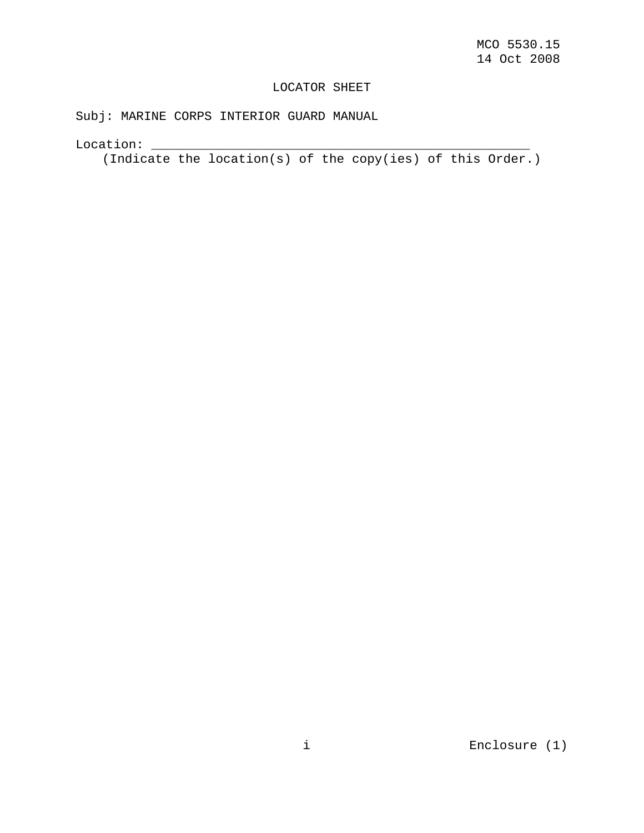# LOCATOR SHEET

Subj: MARINE CORPS INTERIOR GUARD MANUAL

 $Location: ____________$ 

(Indicate the location(s) of the copy(ies) of this Order.)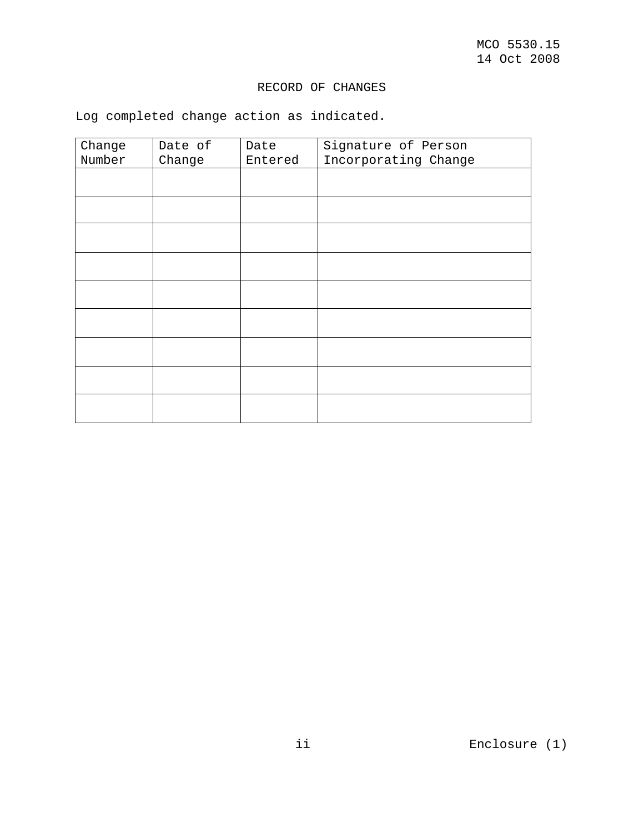# RECORD OF CHANGES

|  |  |  |  |  | Log completed change action as indicated. |  |
|--|--|--|--|--|-------------------------------------------|--|
|--|--|--|--|--|-------------------------------------------|--|

| Change<br>Number | Date of<br>Change | Date<br>Entered | Signature of Person<br>Incorporating Change |
|------------------|-------------------|-----------------|---------------------------------------------|
|                  |                   |                 |                                             |
|                  |                   |                 |                                             |
|                  |                   |                 |                                             |
|                  |                   |                 |                                             |
|                  |                   |                 |                                             |
|                  |                   |                 |                                             |
|                  |                   |                 |                                             |
|                  |                   |                 |                                             |
|                  |                   |                 |                                             |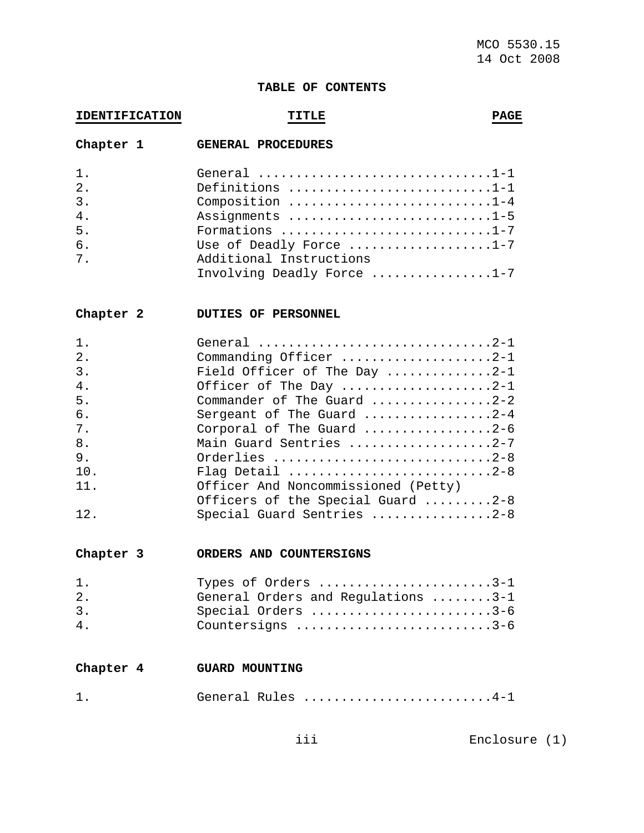# **TABLE OF CONTENTS**

# **IDENTIFICATION TITLE PAGE**

| Chapter 1                                                               | GENERAL PROCEDURES                                                                                                                                                                                                                                                                                                                                                                                                                                                                                   |
|-------------------------------------------------------------------------|------------------------------------------------------------------------------------------------------------------------------------------------------------------------------------------------------------------------------------------------------------------------------------------------------------------------------------------------------------------------------------------------------------------------------------------------------------------------------------------------------|
| 1.<br>2.<br>3.<br>4.<br>5.<br>6.<br>7.                                  | General 1-1<br>Definitions 1-1<br>Composition 1-4<br>Assignments 1-5<br>Formations 1-7<br>Use of Deadly Force 1-7<br>Additional Instructions<br>Involving Deadly Force 1-7                                                                                                                                                                                                                                                                                                                           |
| Chapter 2                                                               | <b>DUTIES OF PERSONNEL</b>                                                                                                                                                                                                                                                                                                                                                                                                                                                                           |
| 1.<br>2.<br>3.<br>4.<br>5.<br>б.<br>7.<br>8.<br>9.<br>10.<br>11.<br>12. | General 2-1<br>Commanding Officer 2-1<br>Field Officer of The Day $\ldots \ldots \ldots \ldots 2-1$<br>Officer of The Day 2-1<br>Commander of The Guard 2-2<br>Sergeant of The Guard 2-4<br>Corporal of The Guard $\ldots \ldots \ldots \ldots \ldots 2-6$<br>Main Guard Sentries 2-7<br>Orderlies 2-8<br>Flag Detail $\ldots \ldots \ldots \ldots \ldots \ldots \ldots \ldots \ldots 2-8$<br>Officer And Noncommissioned (Petty)<br>Officers of the Special Guard 2-8<br>Special Guard Sentries 2-8 |
| Chapter 3                                                               | ORDERS AND COUNTERSIGNS                                                                                                                                                                                                                                                                                                                                                                                                                                                                              |
| $1$ .<br>2.<br>3.<br>$4$ .                                              | Types of Orders 3-1<br>General Orders and Regulations 3-1<br>Special Orders $\ldots \ldots \ldots \ldots \ldots \ldots \ldots \ldots$ 3-6<br>Countersigns 3-6                                                                                                                                                                                                                                                                                                                                        |
| Chapter 4                                                               | <b>GUARD MOUNTING</b>                                                                                                                                                                                                                                                                                                                                                                                                                                                                                |
| $1$ .                                                                   | General Rules 4-1                                                                                                                                                                                                                                                                                                                                                                                                                                                                                    |

iii Enclosure (1)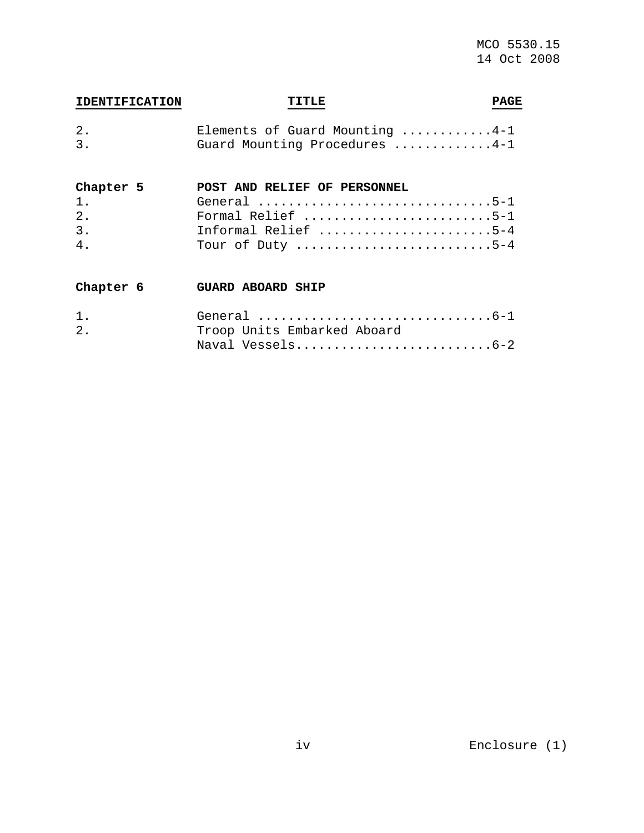# **IDENTIFICATION TITLE** PAGE

| 2. | Elements of Guard Mounting 4-1 |  |
|----|--------------------------------|--|
|    | Guard Mounting Procedures 4-1  |  |

| Chapter 5      | POST AND RELIEF OF PERSONNEL |
|----------------|------------------------------|
| 1.             | General 5-1                  |
| 2.             | Formal Relief 5-1            |
| $\mathbf{3}$ . | Informal Relief 5-4          |
| 4.             | Tour of Duty 5-4             |

# **Chapter 6 GUARD ABOARD SHIP**

| 1. |                             |
|----|-----------------------------|
| 2. | Troop Units Embarked Aboard |
|    | Naval Vessels6-2            |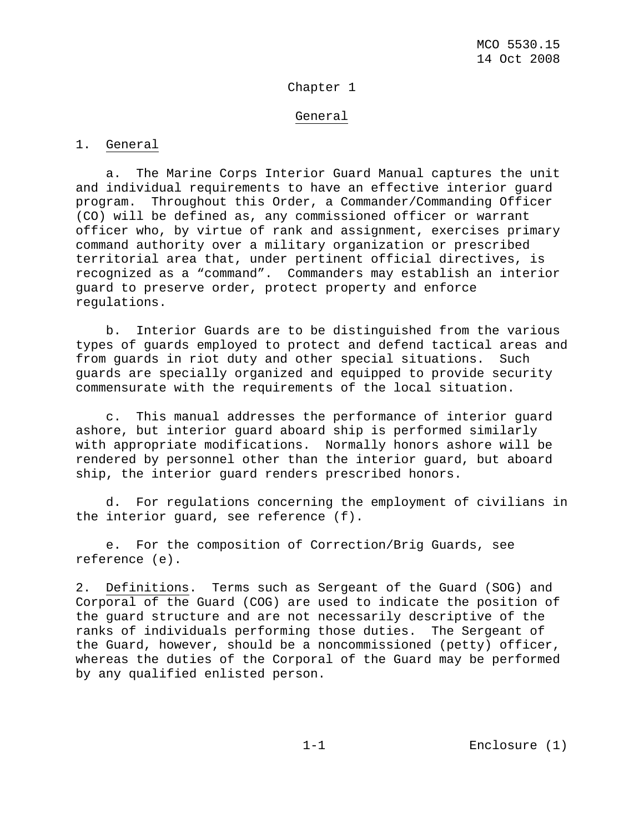### Chapter 1

#### General

#### 1.General

 a. The Marine Corps Interior Guard Manual captures the unit and individual requirements to have an effective interior guard program. Throughout this Order, a Commander/Commanding Officer (CO) will be defined as, any commissioned officer or warrant officer who, by virtue of rank and assignment, exercises primary command authority over a military organization or prescribed territorial area that, under pertinent official directives, is recognized as a "command". Commanders may establish an interior guard to preserve order, protect property and enforce regulations.

 b. Interior Guards are to be distinguished from the various types of guards employed to protect and defend tactical areas and from guards in riot duty and other special situations. Such guards are specially organized and equipped to provide security commensurate with the requirements of the local situation.

 c. This manual addresses the performance of interior guard ashore, but interior guard aboard ship is performed similarly with appropriate modifications. Normally honors ashore will be rendered by personnel other than the interior guard, but aboard ship, the interior guard renders prescribed honors.

 d. For regulations concerning the employment of civilians in the interior guard, see reference (f).

 e. For the composition of Correction/Brig Guards, see reference (e).

2. Definitions. Terms such as Sergeant of the Guard (SOG) and Corporal of the Guard (COG) are used to indicate the position of the guard structure and are not necessarily descriptive of the ranks of individuals performing those duties. The Sergeant of the Guard, however, should be a noncommissioned (petty) officer, whereas the duties of the Corporal of the Guard may be performed by any qualified enlisted person.

1-1 Enclosure (1)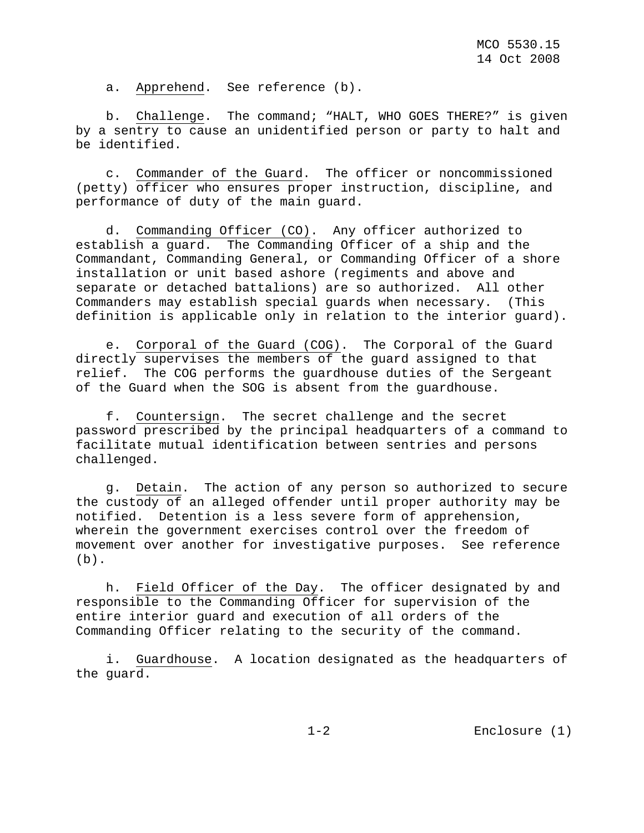a. Apprehend. See reference (b).

 b. Challenge. The command; "HALT, WHO GOES THERE?" is given by a sentry to cause an unidentified person or party to halt and be identified.

 c. Commander of the Guard. The officer or noncommissioned (petty) officer who ensures proper instruction, discipline, and performance of duty of the main guard.

 d. Commanding Officer (CO). Any officer authorized to establish a guard. The Commanding Officer of a ship and the Commandant, Commanding General, or Commanding Officer of a shore installation or unit based ashore (regiments and above and separate or detached battalions) are so authorized. All other Commanders may establish special guards when necessary. (This definition is applicable only in relation to the interior guard).

 e. Corporal of the Guard (COG). The Corporal of the Guard directly supervises the members of the guard assigned to that relief. The COG performs the guardhouse duties of the Sergeant of the Guard when the SOG is absent from the guardhouse.

 f. Countersign. The secret challenge and the secret password prescribed by the principal headquarters of a command to facilitate mutual identification between sentries and persons challenged.

 g. Detain. The action of any person so authorized to secure the custody of an alleged offender until proper authority may be notified. Detention is a less severe form of apprehension, wherein the government exercises control over the freedom of movement over another for investigative purposes. See reference  $(b)$ .

 h. Field Officer of the Day. The officer designated by and responsible to the Commanding Officer for supervision of the entire interior guard and execution of all orders of the Commanding Officer relating to the security of the command.

 i. Guardhouse. A location designated as the headquarters of the guard.

1-2 Enclosure (1)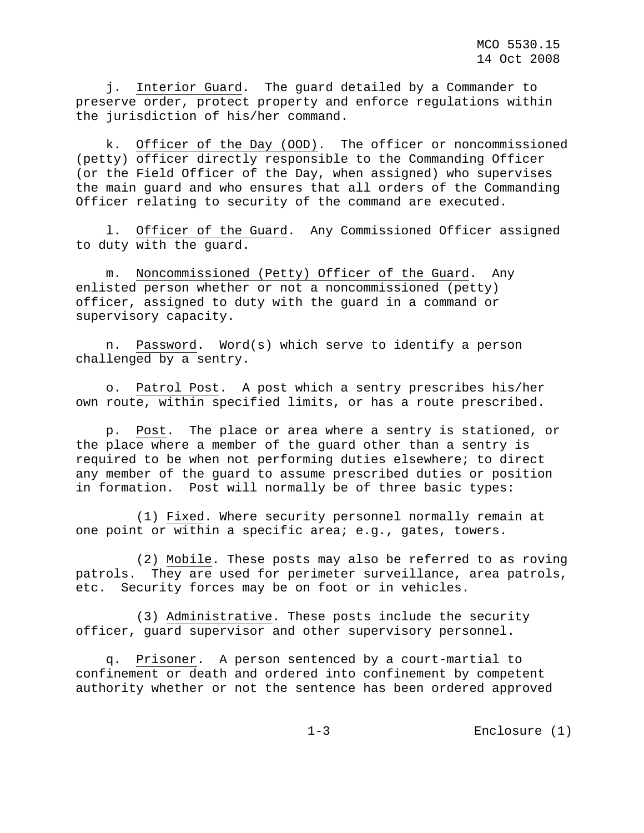j. Interior Guard. The guard detailed by a Commander to preserve order, protect property and enforce regulations within the jurisdiction of his/her command.

 k. Officer of the Day (OOD). The officer or noncommissioned (petty) officer directly responsible to the Commanding Officer (or the Field Officer of the Day, when assigned) who supervises the main guard and who ensures that all orders of the Commanding Officer relating to security of the command are executed.

 l. Officer of the Guard. Any Commissioned Officer assigned to duty with the guard.

 m. Noncommissioned (Petty) Officer of the Guard. Any enlisted person whether or not a noncommissioned (petty) officer, assigned to duty with the guard in a command or supervisory capacity.

 n. Password. Word(s) which serve to identify a person challenged by a sentry.

 o. Patrol Post. A post which a sentry prescribes his/her own route, within specified limits, or has a route prescribed.

 p. Post. The place or area where a sentry is stationed, or the place where a member of the guard other than a sentry is required to be when not performing duties elsewhere; to direct any member of the guard to assume prescribed duties or position in formation. Post will normally be of three basic types:

 (1) Fixed. Where security personnel normally remain at one point or within a specific area; e.g., gates, towers.

 (2) Mobile. These posts may also be referred to as roving patrols. They are used for perimeter surveillance, area patrols, etc. Security forces may be on foot or in vehicles.

 (3) Administrative. These posts include the security officer, guard supervisor and other supervisory personnel.

 q. Prisoner. A person sentenced by a court-martial to confinement or death and ordered into confinement by competent authority whether or not the sentence has been ordered approved

1-3 Enclosure (1)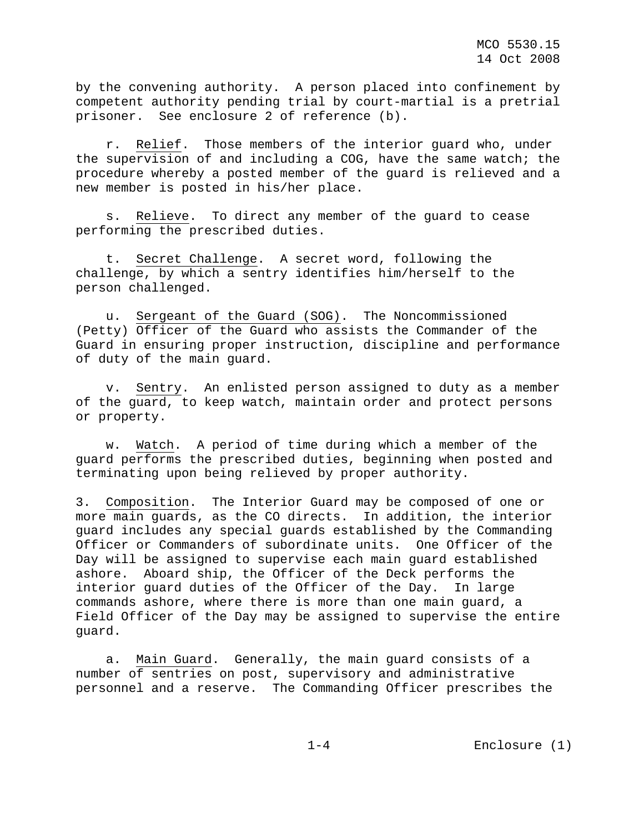by the convening authority. A person placed into confinement by competent authority pending trial by court-martial is a pretrial prisoner. See enclosure 2 of reference (b).

 r. Relief. Those members of the interior guard who, under the supervision of and including a COG, have the same watch; the procedure whereby a posted member of the guard is relieved and a new member is posted in his/her place.

 s. Relieve. To direct any member of the guard to cease performing the prescribed duties.

 t. Secret Challenge. A secret word, following the challenge, by which a sentry identifies him/herself to the person challenged.

 u. Sergeant of the Guard (SOG). The Noncommissioned (Petty) Officer of the Guard who assists the Commander of the Guard in ensuring proper instruction, discipline and performance of duty of the main guard.

 v. Sentry. An enlisted person assigned to duty as a member of the guard, to keep watch, maintain order and protect persons or property.

 w. Watch. A period of time during which a member of the guard performs the prescribed duties, beginning when posted and terminating upon being relieved by proper authority.

3. Composition. The Interior Guard may be composed of one or more main guards, as the CO directs. In addition, the interior guard includes any special guards established by the Commanding Officer or Commanders of subordinate units. One Officer of the Day will be assigned to supervise each main guard established ashore. Aboard ship, the Officer of the Deck performs the interior guard duties of the Officer of the Day. In large commands ashore, where there is more than one main guard, a Field Officer of the Day may be assigned to supervise the entire guard.

 a. Main Guard. Generally, the main guard consists of a number of sentries on post, supervisory and administrative personnel and a reserve. The Commanding Officer prescribes the

1-4 Enclosure (1)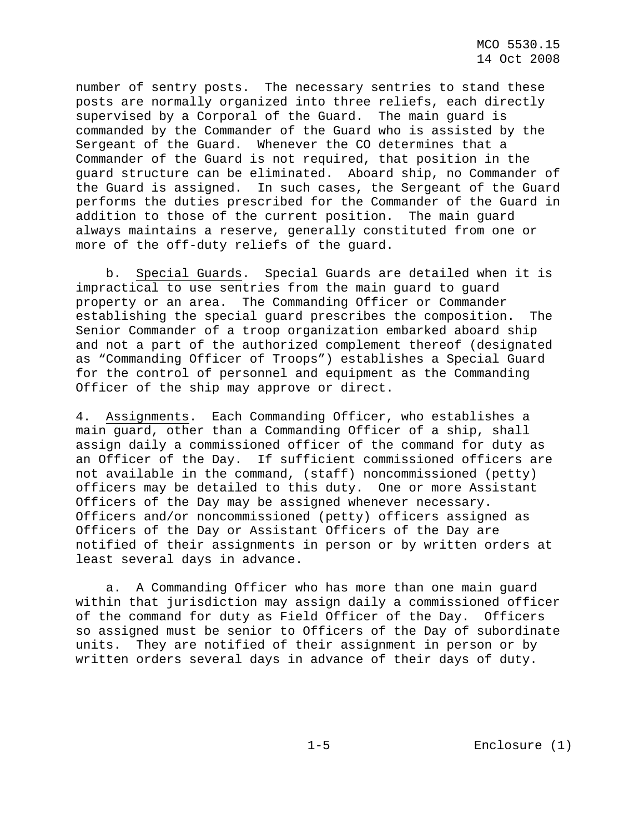number of sentry posts. The necessary sentries to stand these posts are normally organized into three reliefs, each directly supervised by a Corporal of the Guard. The main guard is commanded by the Commander of the Guard who is assisted by the Sergeant of the Guard. Whenever the CO determines that a Commander of the Guard is not required, that position in the guard structure can be eliminated. Aboard ship, no Commander of the Guard is assigned. In such cases, the Sergeant of the Guard performs the duties prescribed for the Commander of the Guard in addition to those of the current position. The main guard always maintains a reserve, generally constituted from one or more of the off-duty reliefs of the guard.

 b. Special Guards. Special Guards are detailed when it is impractical to use sentries from the main guard to guard property or an area. The Commanding Officer or Commander establishing the special guard prescribes the composition. The Senior Commander of a troop organization embarked aboard ship and not a part of the authorized complement thereof (designated as "Commanding Officer of Troops") establishes a Special Guard for the control of personnel and equipment as the Commanding Officer of the ship may approve or direct.

4. Assignments. Each Commanding Officer, who establishes a main guard, other than a Commanding Officer of a ship, shall assign daily a commissioned officer of the command for duty as an Officer of the Day. If sufficient commissioned officers are not available in the command, (staff) noncommissioned (petty) officers may be detailed to this duty. One or more Assistant Officers of the Day may be assigned whenever necessary. Officers and/or noncommissioned (petty) officers assigned as Officers of the Day or Assistant Officers of the Day are notified of their assignments in person or by written orders at least several days in advance.

 a. A Commanding Officer who has more than one main guard within that jurisdiction may assign daily a commissioned officer of the command for duty as Field Officer of the Day. Officers so assigned must be senior to Officers of the Day of subordinate units. They are notified of their assignment in person or by written orders several days in advance of their days of duty.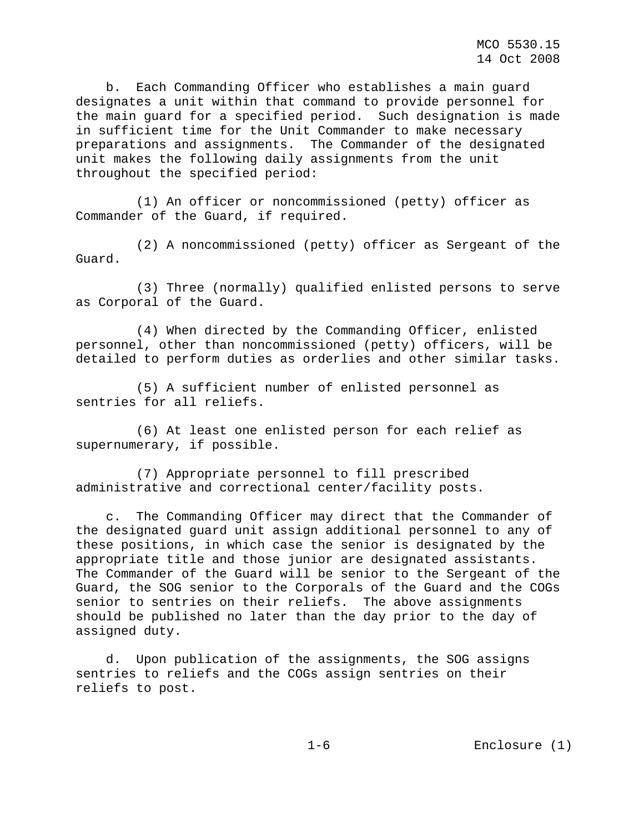b. Each Commanding Officer who establishes a main guard designates a unit within that command to provide personnel for the main guard for a specified period. Such designation is made in sufficient time for the Unit Commander to make necessary preparations and assignments. The Commander of the designated unit makes the following daily assignments from the unit throughout the specified period:

 (1) An officer or noncommissioned (petty) officer as Commander of the Guard, if required.

 (2) A noncommissioned (petty) officer as Sergeant of the Guard.

 (3) Three (normally) qualified enlisted persons to serve as Corporal of the Guard.

 (4) When directed by the Commanding Officer, enlisted personnel, other than noncommissioned (petty) officers, will be detailed to perform duties as orderlies and other similar tasks.

 (5) A sufficient number of enlisted personnel as sentries for all reliefs.

 (6) At least one enlisted person for each relief as supernumerary, if possible.

 (7) Appropriate personnel to fill prescribed administrative and correctional center/facility posts.

 c. The Commanding Officer may direct that the Commander of the designated guard unit assign additional personnel to any of these positions, in which case the senior is designated by the appropriate title and those junior are designated assistants. The Commander of the Guard will be senior to the Sergeant of the Guard, the SOG senior to the Corporals of the Guard and the COGs senior to sentries on their reliefs. The above assignments should be published no later than the day prior to the day of assigned duty.

 d. Upon publication of the assignments, the SOG assigns sentries to reliefs and the COGs assign sentries on their reliefs to post.

1-6 Enclosure (1)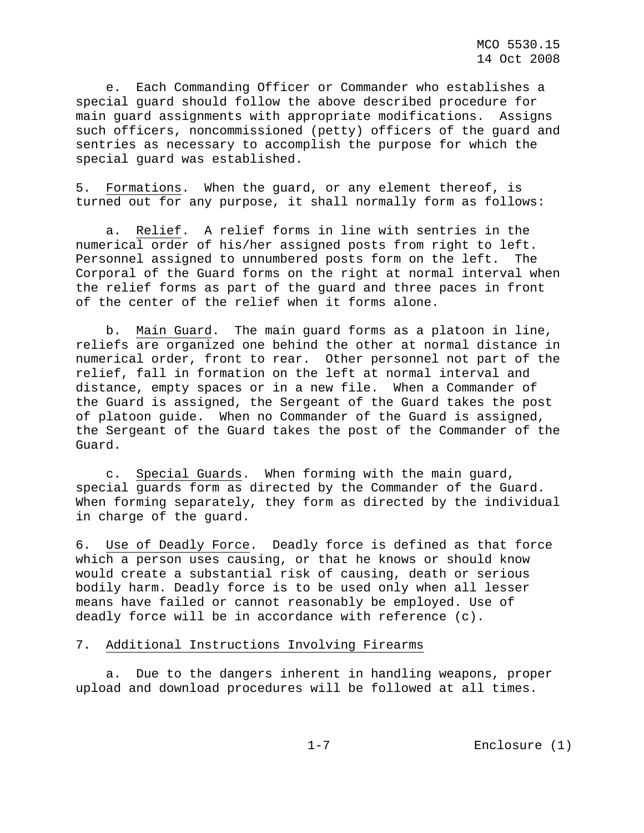e. Each Commanding Officer or Commander who establishes a special guard should follow the above described procedure for main guard assignments with appropriate modifications. Assigns such officers, noncommissioned (petty) officers of the guard and sentries as necessary to accomplish the purpose for which the special guard was established.

5. Formations. When the guard, or any element thereof, is turned out for any purpose, it shall normally form as follows:

 a. Relief. A relief forms in line with sentries in the numerical order of his/her assigned posts from right to left. Personnel assigned to unnumbered posts form on the left. The Corporal of the Guard forms on the right at normal interval when the relief forms as part of the guard and three paces in front of the center of the relief when it forms alone.

 b. Main Guard. The main guard forms as a platoon in line, reliefs are organized one behind the other at normal distance in numerical order, front to rear. Other personnel not part of the relief, fall in formation on the left at normal interval and distance, empty spaces or in a new file. When a Commander of the Guard is assigned, the Sergeant of the Guard takes the post of platoon guide. When no Commander of the Guard is assigned, the Sergeant of the Guard takes the post of the Commander of the Guard.

 c. Special Guards. When forming with the main guard, special guards form as directed by the Commander of the Guard. When forming separately, they form as directed by the individual in charge of the guard.

6. Use of Deadly Force. Deadly force is defined as that force which a person uses causing, or that he knows or should know would create a substantial risk of causing, death or serious bodily harm. Deadly force is to be used only when all lesser means have failed or cannot reasonably be employed. Use of deadly force will be in accordance with reference (c).

# 7. Additional Instructions Involving Firearms

 a. Due to the dangers inherent in handling weapons, proper upload and download procedures will be followed at all times.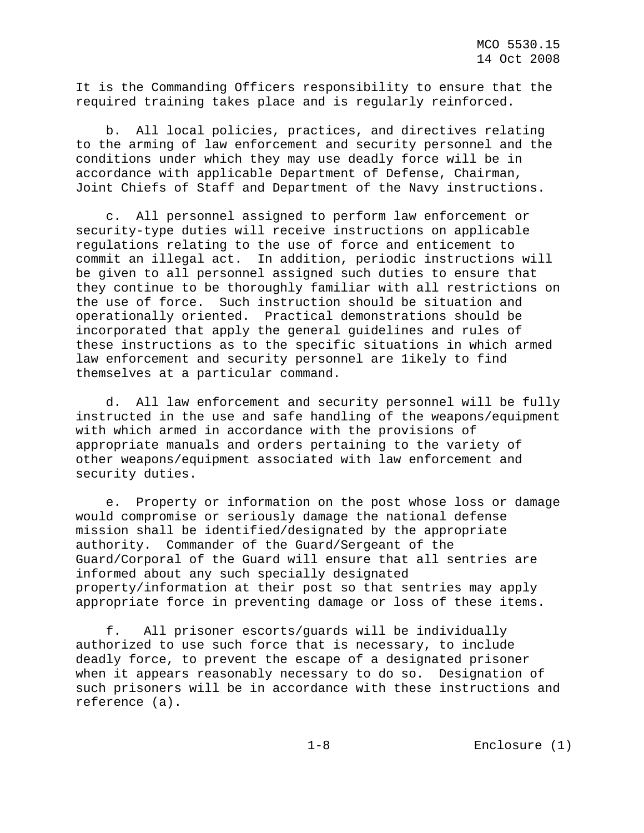It is the Commanding Officers responsibility to ensure that the required training takes place and is regularly reinforced.

 b. All local policies, practices, and directives relating to the arming of law enforcement and security personnel and the conditions under which they may use deadly force will be in accordance with applicable Department of Defense, Chairman, Joint Chiefs of Staff and Department of the Navy instructions.

 c. All personnel assigned to perform law enforcement or security-type duties will receive instructions on applicable regulations relating to the use of force and enticement to commit an illegal act. In addition, periodic instructions will be given to all personnel assigned such duties to ensure that they continue to be thoroughly familiar with all restrictions on the use of force. Such instruction should be situation and operationally oriented. Practical demonstrations should be incorporated that apply the general guidelines and rules of these instructions as to the specific situations in which armed law enforcement and security personnel are 1ikely to find themselves at a particular command.

 d. All law enforcement and security personnel will be fully instructed in the use and safe handling of the weapons/equipment with which armed in accordance with the provisions of appropriate manuals and orders pertaining to the variety of other weapons/equipment associated with law enforcement and security duties.

 e. Property or information on the post whose loss or damage would compromise or seriously damage the national defense mission shall be identified/designated by the appropriate authority. Commander of the Guard/Sergeant of the Guard/Corporal of the Guard will ensure that all sentries are informed about any such specially designated property/information at their post so that sentries may apply appropriate force in preventing damage or loss of these items.

 f. All prisoner escorts/guards will be individually authorized to use such force that is necessary, to include deadly force, to prevent the escape of a designated prisoner when it appears reasonably necessary to do so. Designation of such prisoners will be in accordance with these instructions and reference (a).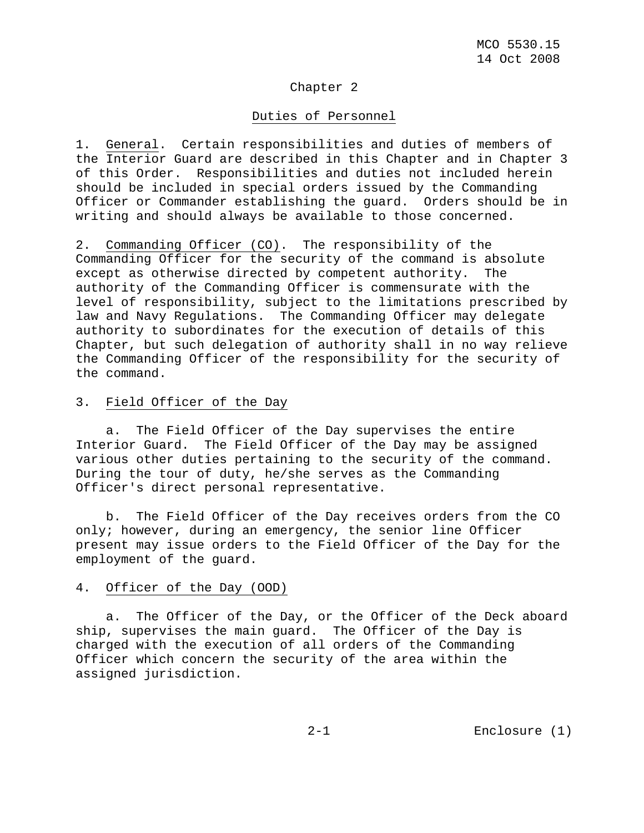# Chapter 2

### Duties of Personnel

1. General. Certain responsibilities and duties of members of the Interior Guard are described in this Chapter and in Chapter 3 of this Order. Responsibilities and duties not included herein should be included in special orders issued by the Commanding Officer or Commander establishing the guard. Orders should be in writing and should always be available to those concerned.

2. Commanding Officer (CO). The responsibility of the Commanding Officer for the security of the command is absolute except as otherwise directed by competent authority. The authority of the Commanding Officer is commensurate with the level of responsibility, subject to the limitations prescribed by law and Navy Regulations. The Commanding Officer may delegate authority to subordinates for the execution of details of this Chapter, but such delegation of authority shall in no way relieve the Commanding Officer of the responsibility for the security of the command.

# 3. Field Officer of the Day

 a. The Field Officer of the Day supervises the entire Interior Guard. The Field Officer of the Day may be assigned various other duties pertaining to the security of the command. During the tour of duty, he/she serves as the Commanding Officer's direct personal representative.

 b. The Field Officer of the Day receives orders from the CO only; however, during an emergency, the senior line Officer present may issue orders to the Field Officer of the Day for the employment of the guard.

## 4. Officer of the Day (OOD)

 a. The Officer of the Day, or the Officer of the Deck aboard ship, supervises the main guard. The Officer of the Day is charged with the execution of all orders of the Commanding Officer which concern the security of the area within the assigned jurisdiction.

2-1 Enclosure (1)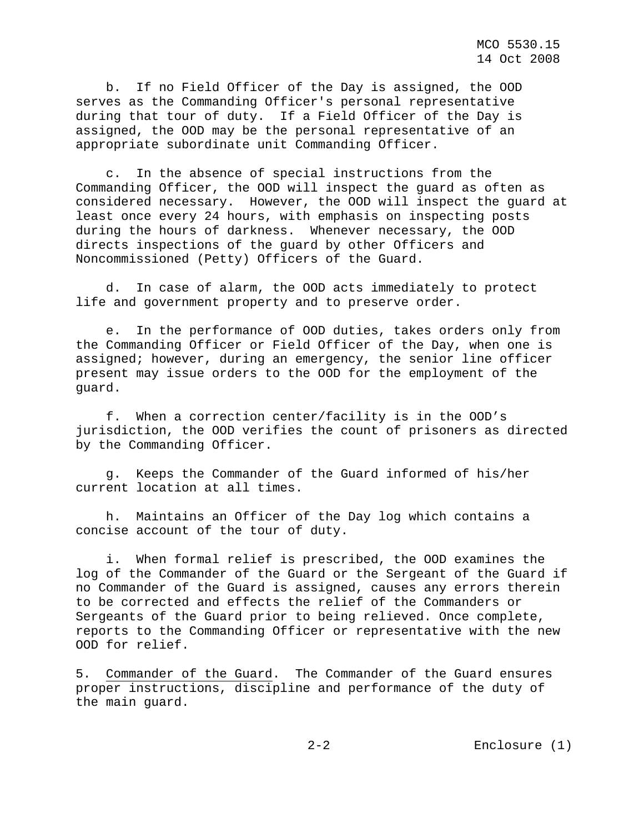b. If no Field Officer of the Day is assigned, the OOD serves as the Commanding Officer's personal representative during that tour of duty. If a Field Officer of the Day is assigned, the OOD may be the personal representative of an appropriate subordinate unit Commanding Officer.

 c. In the absence of special instructions from the Commanding Officer, the OOD will inspect the guard as often as considered necessary. However, the OOD will inspect the guard at least once every 24 hours, with emphasis on inspecting posts during the hours of darkness. Whenever necessary, the OOD directs inspections of the guard by other Officers and Noncommissioned (Petty) Officers of the Guard.

 d. In case of alarm, the OOD acts immediately to protect life and government property and to preserve order.

 e. In the performance of OOD duties, takes orders only from the Commanding Officer or Field Officer of the Day, when one is assigned; however, during an emergency, the senior line officer present may issue orders to the OOD for the employment of the guard.

 f. When a correction center/facility is in the OOD's jurisdiction, the OOD verifies the count of prisoners as directed by the Commanding Officer.

 g. Keeps the Commander of the Guard informed of his/her current location at all times.

 h. Maintains an Officer of the Day log which contains a concise account of the tour of duty.

 i. When formal relief is prescribed, the OOD examines the log of the Commander of the Guard or the Sergeant of the Guard if no Commander of the Guard is assigned, causes any errors therein to be corrected and effects the relief of the Commanders or Sergeants of the Guard prior to being relieved. Once complete, reports to the Commanding Officer or representative with the new OOD for relief.

5. Commander of the Guard. The Commander of the Guard ensures proper instructions, discipline and performance of the duty of the main guard.

2-2 Enclosure (1)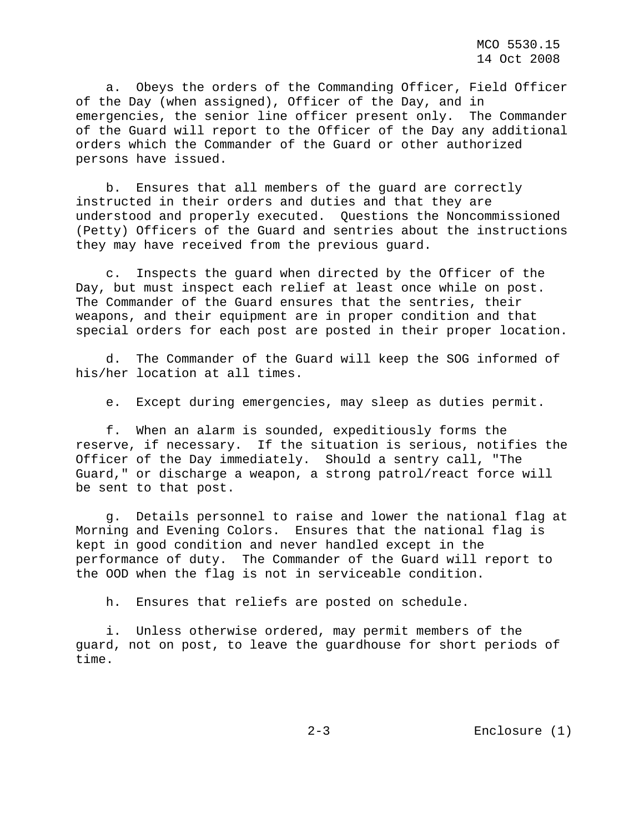MCO 5530.15 14 Oct 2008

 a. Obeys the orders of the Commanding Officer, Field Officer of the Day (when assigned), Officer of the Day, and in emergencies, the senior line officer present only. The Commander of the Guard will report to the Officer of the Day any additional orders which the Commander of the Guard or other authorized persons have issued.

 b. Ensures that all members of the guard are correctly instructed in their orders and duties and that they are understood and properly executed. Questions the Noncommissioned (Petty) Officers of the Guard and sentries about the instructions they may have received from the previous guard.

 c. Inspects the guard when directed by the Officer of the Day, but must inspect each relief at least once while on post. The Commander of the Guard ensures that the sentries, their weapons, and their equipment are in proper condition and that special orders for each post are posted in their proper location.

 d. The Commander of the Guard will keep the SOG informed of his/her location at all times.

e. Except during emergencies, may sleep as duties permit.

 f. When an alarm is sounded, expeditiously forms the reserve, if necessary. If the situation is serious, notifies the Officer of the Day immediately. Should a sentry call, "The Guard," or discharge a weapon, a strong patrol/react force will be sent to that post.

 g. Details personnel to raise and lower the national flag at Morning and Evening Colors. Ensures that the national flag is kept in good condition and never handled except in the performance of duty. The Commander of the Guard will report to the OOD when the flag is not in serviceable condition.

h. Ensures that reliefs are posted on schedule.

 i. Unless otherwise ordered, may permit members of the guard, not on post, to leave the guardhouse for short periods of time.

2-3 Enclosure (1)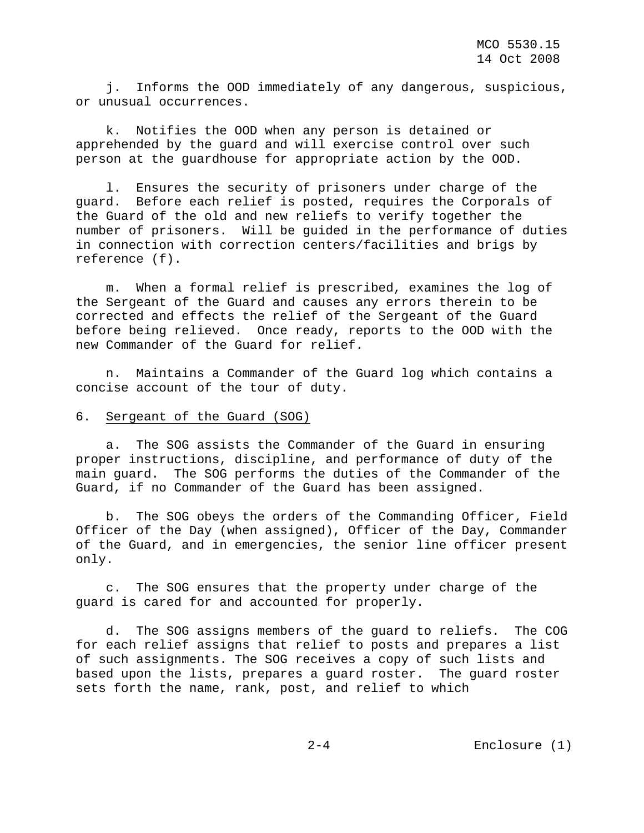j. Informs the OOD immediately of any dangerous, suspicious, or unusual occurrences.

 k. Notifies the OOD when any person is detained or apprehended by the guard and will exercise control over such person at the guardhouse for appropriate action by the OOD.

 l. Ensures the security of prisoners under charge of the guard. Before each relief is posted, requires the Corporals of the Guard of the old and new reliefs to verify together the number of prisoners. Will be guided in the performance of duties in connection with correction centers/facilities and brigs by reference (f).

 m. When a formal relief is prescribed, examines the log of the Sergeant of the Guard and causes any errors therein to be corrected and effects the relief of the Sergeant of the Guard before being relieved. Once ready, reports to the OOD with the new Commander of the Guard for relief.

 n. Maintains a Commander of the Guard log which contains a concise account of the tour of duty.

#### 6. Sergeant of the Guard (SOG)

 a. The SOG assists the Commander of the Guard in ensuring proper instructions, discipline, and performance of duty of the main guard. The SOG performs the duties of the Commander of the Guard, if no Commander of the Guard has been assigned.

 b. The SOG obeys the orders of the Commanding Officer, Field Officer of the Day (when assigned), Officer of the Day, Commander of the Guard, and in emergencies, the senior line officer present only.

 c. The SOG ensures that the property under charge of the guard is cared for and accounted for properly.

 d. The SOG assigns members of the guard to reliefs. The COG for each relief assigns that relief to posts and prepares a list of such assignments. The SOG receives a copy of such lists and based upon the lists, prepares a guard roster. The guard roster sets forth the name, rank, post, and relief to which

2-4 Enclosure (1)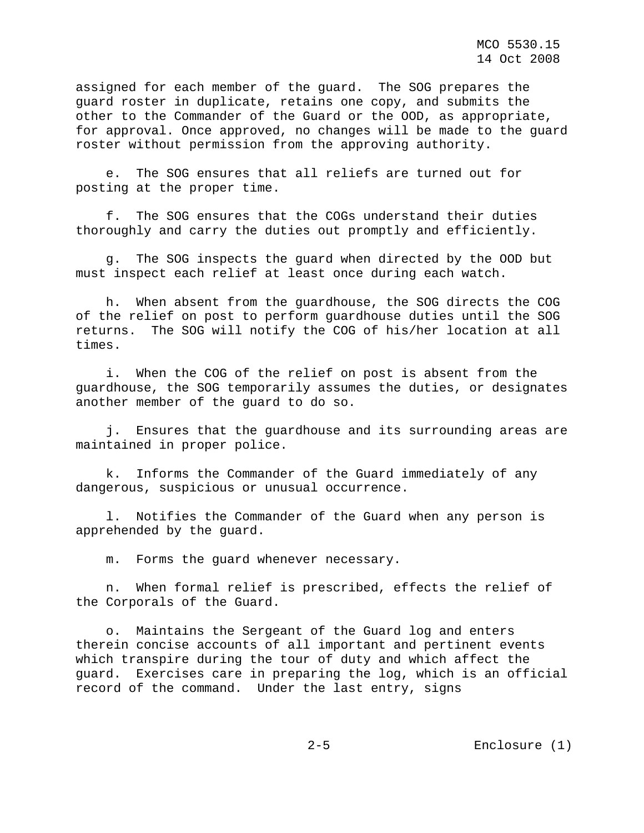assigned for each member of the guard. The SOG prepares the guard roster in duplicate, retains one copy, and submits the other to the Commander of the Guard or the OOD, as appropriate, for approval. Once approved, no changes will be made to the guard roster without permission from the approving authority.

 e. The SOG ensures that all reliefs are turned out for posting at the proper time.

 f. The SOG ensures that the COGs understand their duties thoroughly and carry the duties out promptly and efficiently.

 g. The SOG inspects the guard when directed by the OOD but must inspect each relief at least once during each watch.

 h. When absent from the guardhouse, the SOG directs the COG of the relief on post to perform guardhouse duties until the SOG returns. The SOG will notify the COG of his/her location at all times.

 i. When the COG of the relief on post is absent from the guardhouse, the SOG temporarily assumes the duties, or designates another member of the guard to do so.

 j. Ensures that the guardhouse and its surrounding areas are maintained in proper police.

 k. Informs the Commander of the Guard immediately of any dangerous, suspicious or unusual occurrence.

 l. Notifies the Commander of the Guard when any person is apprehended by the guard.

m. Forms the guard whenever necessary.

 n. When formal relief is prescribed, effects the relief of the Corporals of the Guard.

 o. Maintains the Sergeant of the Guard log and enters therein concise accounts of all important and pertinent events which transpire during the tour of duty and which affect the guard. Exercises care in preparing the log, which is an official record of the command. Under the last entry, signs

2-5 Enclosure (1)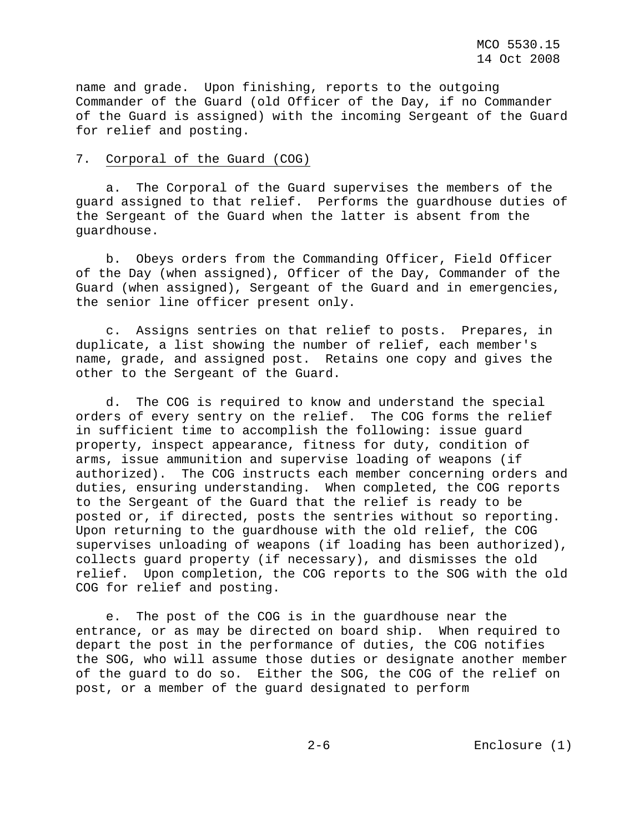name and grade. Upon finishing, reports to the outgoing Commander of the Guard (old Officer of the Day, if no Commander of the Guard is assigned) with the incoming Sergeant of the Guard for relief and posting.

# 7. Corporal of the Guard (COG)

 a. The Corporal of the Guard supervises the members of the guard assigned to that relief. Performs the guardhouse duties of the Sergeant of the Guard when the latter is absent from the guardhouse.

 b. Obeys orders from the Commanding Officer, Field Officer of the Day (when assigned), Officer of the Day, Commander of the Guard (when assigned), Sergeant of the Guard and in emergencies, the senior line officer present only.

 c. Assigns sentries on that relief to posts. Prepares, in duplicate, a list showing the number of relief, each member's name, grade, and assigned post. Retains one copy and gives the other to the Sergeant of the Guard.

 d. The COG is required to know and understand the special orders of every sentry on the relief. The COG forms the relief in sufficient time to accomplish the following: issue guard property, inspect appearance, fitness for duty, condition of arms, issue ammunition and supervise loading of weapons (if authorized). The COG instructs each member concerning orders and duties, ensuring understanding. When completed, the COG reports to the Sergeant of the Guard that the relief is ready to be posted or, if directed, posts the sentries without so reporting. Upon returning to the guardhouse with the old relief, the COG supervises unloading of weapons (if loading has been authorized), collects guard property (if necessary), and dismisses the old relief. Upon completion, the COG reports to the SOG with the old COG for relief and posting.

 e. The post of the COG is in the guardhouse near the entrance, or as may be directed on board ship. When required to depart the post in the performance of duties, the COG notifies the SOG, who will assume those duties or designate another member of the guard to do so. Either the SOG, the COG of the relief on post, or a member of the guard designated to perform

2-6 Enclosure (1)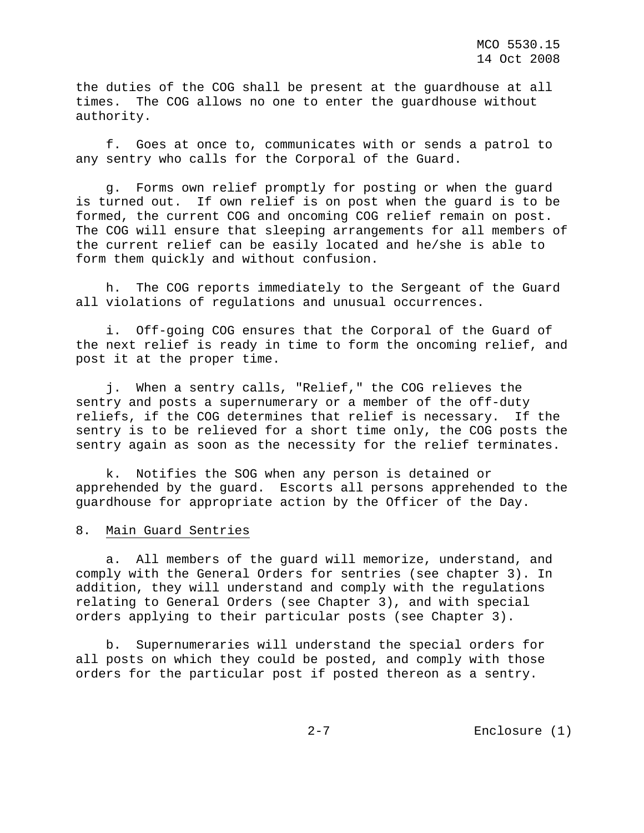the duties of the COG shall be present at the guardhouse at all times. The COG allows no one to enter the guardhouse without authority.

 f. Goes at once to, communicates with or sends a patrol to any sentry who calls for the Corporal of the Guard.

 g. Forms own relief promptly for posting or when the guard is turned out. If own relief is on post when the guard is to be formed, the current COG and oncoming COG relief remain on post. The COG will ensure that sleeping arrangements for all members of the current relief can be easily located and he/she is able to form them quickly and without confusion.

 h. The COG reports immediately to the Sergeant of the Guard all violations of regulations and unusual occurrences.

 i. Off-going COG ensures that the Corporal of the Guard of the next relief is ready in time to form the oncoming relief, and post it at the proper time.

 j. When a sentry calls, "Relief," the COG relieves the sentry and posts a supernumerary or a member of the off-duty reliefs, if the COG determines that relief is necessary. If the sentry is to be relieved for a short time only, the COG posts the sentry again as soon as the necessity for the relief terminates.

 k. Notifies the SOG when any person is detained or apprehended by the guard. Escorts all persons apprehended to the guardhouse for appropriate action by the Officer of the Day.

#### 8. Main Guard Sentries

 a. All members of the guard will memorize, understand, and comply with the General Orders for sentries (see chapter 3). In addition, they will understand and comply with the regulations relating to General Orders (see Chapter 3), and with special orders applying to their particular posts (see Chapter 3).

 b. Supernumeraries will understand the special orders for all posts on which they could be posted, and comply with those orders for the particular post if posted thereon as a sentry.

2-7 Enclosure (1)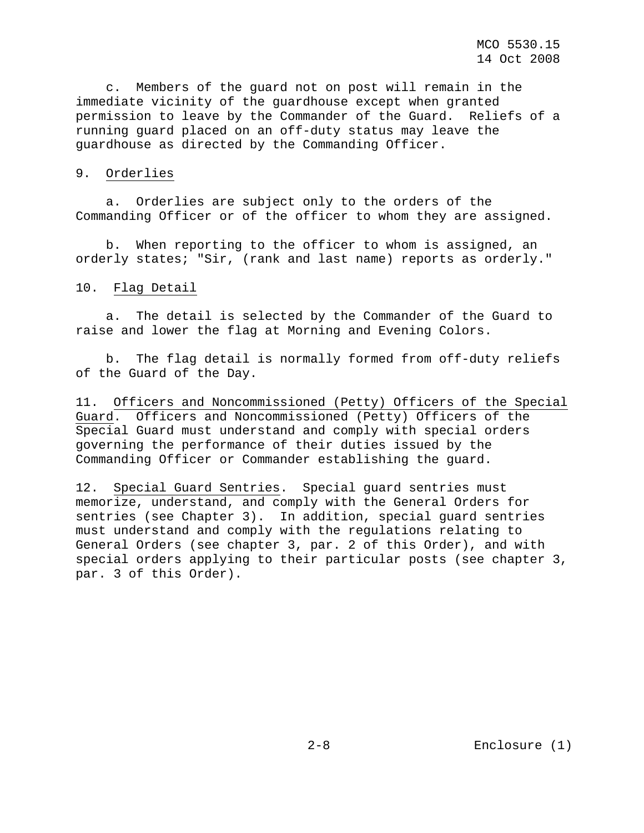MCO 5530.15 14 Oct 2008

 c. Members of the guard not on post will remain in the immediate vicinity of the guardhouse except when granted permission to leave by the Commander of the Guard. Reliefs of a running guard placed on an off-duty status may leave the guardhouse as directed by the Commanding Officer.

# 9. Orderlies

 a. Orderlies are subject only to the orders of the Commanding Officer or of the officer to whom they are assigned.

 b. When reporting to the officer to whom is assigned, an orderly states; "Sir, (rank and last name) reports as orderly."

#### 10. Flag Detail

 a. The detail is selected by the Commander of the Guard to raise and lower the flag at Morning and Evening Colors.

 b. The flag detail is normally formed from off-duty reliefs of the Guard of the Day.

11. Officers and Noncommissioned (Petty) Officers of the Special Guard. Officers and Noncommissioned (Petty) Officers of the Special Guard must understand and comply with special orders governing the performance of their duties issued by the Commanding Officer or Commander establishing the guard.

12. Special Guard Sentries. Special guard sentries must memorize, understand, and comply with the General Orders for sentries (see Chapter 3). In addition, special guard sentries must understand and comply with the regulations relating to General Orders (see chapter 3, par. 2 of this Order), and with special orders applying to their particular posts (see chapter 3, par. 3 of this Order).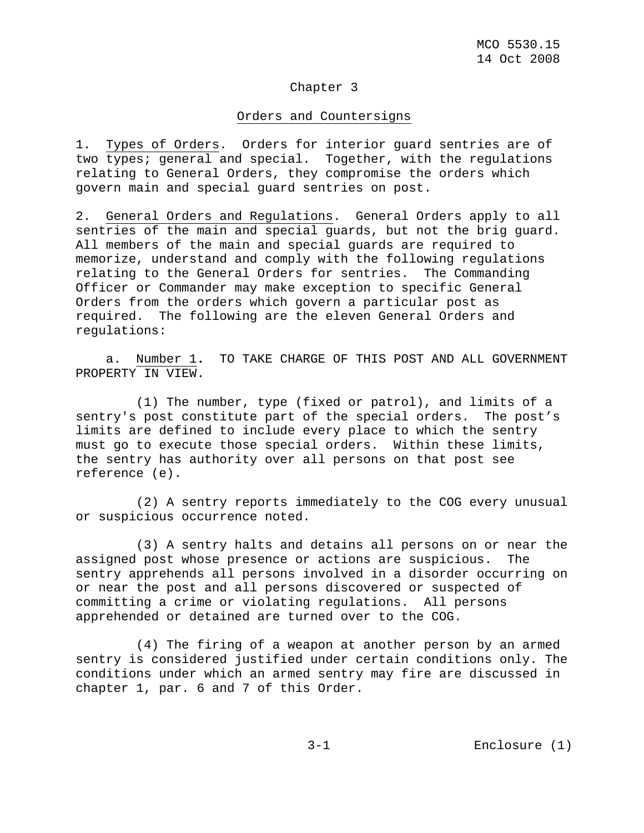# Chapter 3

### Orders and Countersigns

1. Types of Orders. Orders for interior guard sentries are of two types; general and special. Together, with the regulations relating to General Orders, they compromise the orders which govern main and special guard sentries on post.

2. General Orders and Regulations. General Orders apply to all sentries of the main and special guards, but not the brig guard. All members of the main and special guards are required to memorize, understand and comply with the following regulations relating to the General Orders for sentries. The Commanding Officer or Commander may make exception to specific General Orders from the orders which govern a particular post as required. The following are the eleven General Orders and regulations:

 a. Number 1**.** TO TAKE CHARGE OF THIS POST AND ALL GOVERNMENT PROPERTY IN VIEW.

 (1) The number, type (fixed or patrol), and limits of a sentry's post constitute part of the special orders. The post's limits are defined to include every place to which the sentry must go to execute those special orders. Within these limits, the sentry has authority over all persons on that post see reference (e).

 (2) A sentry reports immediately to the COG every unusual or suspicious occurrence noted.

 (3) A sentry halts and detains all persons on or near the assigned post whose presence or actions are suspicious. The sentry apprehends all persons involved in a disorder occurring on or near the post and all persons discovered or suspected of committing a crime or violating regulations. All persons apprehended or detained are turned over to the COG.

 (4) The firing of a weapon at another person by an armed sentry is considered justified under certain conditions only. The conditions under which an armed sentry may fire are discussed in chapter 1, par. 6 and 7 of this Order.

3-1 Enclosure (1)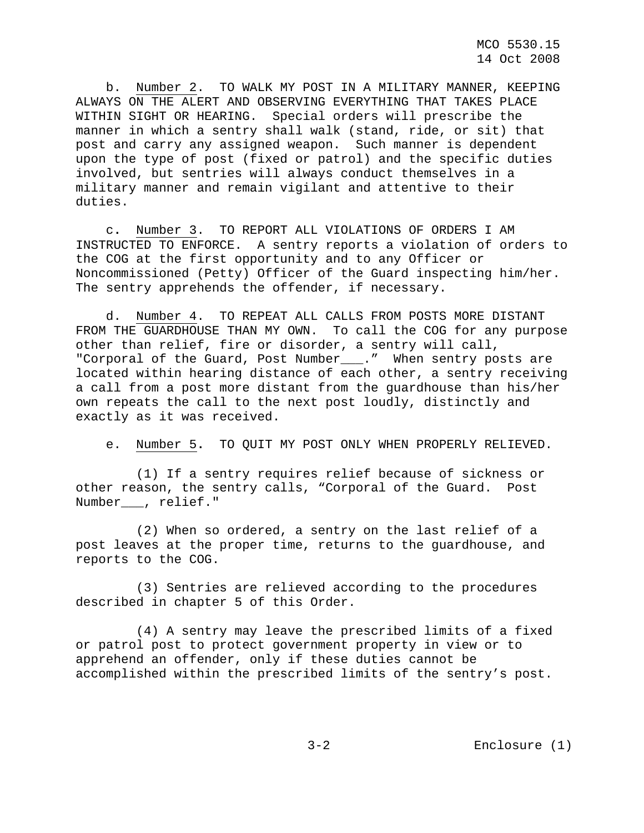MCO 5530.15 14 Oct 2008

 b. Number 2. TO WALK MY POST IN A MILITARY MANNER, KEEPING ALWAYS ON THE ALERT AND OBSERVING EVERYTHING THAT TAKES PLACE WITHIN SIGHT OR HEARING. Special orders will prescribe the manner in which a sentry shall walk (stand, ride, or sit) that post and carry any assigned weapon. Such manner is dependent upon the type of post (fixed or patrol) and the specific duties involved, but sentries will always conduct themselves in a military manner and remain vigilant and attentive to their duties.

 c**.** Number 3. TO REPORT ALL VIOLATIONS OF ORDERS I AM INSTRUCTED TO ENFORCE. A sentry reports a violation of orders to the COG at the first opportunity and to any Officer or Noncommissioned (Petty) Officer of the Guard inspecting him/her. The sentry apprehends the offender, if necessary.

 d. Number 4. TO REPEAT ALL CALLS FROM POSTS MORE DISTANT FROM THE GUARDHOUSE THAN MY OWN. To call the COG for any purpose other than relief, fire or disorder, a sentry will call, "Corporal of the Guard, Post Number\_\_\_." When sentry posts are located within hearing distance of each other, a sentry receiving a call from a post more distant from the guardhouse than his/her own repeats the call to the next post loudly, distinctly and exactly as it was received.

e. Number 5**.** TO QUIT MY POST ONLY WHEN PROPERLY RELIEVED.

 (1) If a sentry requires relief because of sickness or other reason, the sentry calls, "Corporal of the Guard. Post Number\_\_\_, relief."

 (2) When so ordered, a sentry on the last relief of a post leaves at the proper time, returns to the guardhouse, and reports to the COG.

 (3) Sentries are relieved according to the procedures described in chapter 5 of this Order.

 (4) A sentry may leave the prescribed limits of a fixed or patrol post to protect government property in view or to apprehend an offender, only if these duties cannot be accomplished within the prescribed limits of the sentry's post.

3-2 Enclosure (1)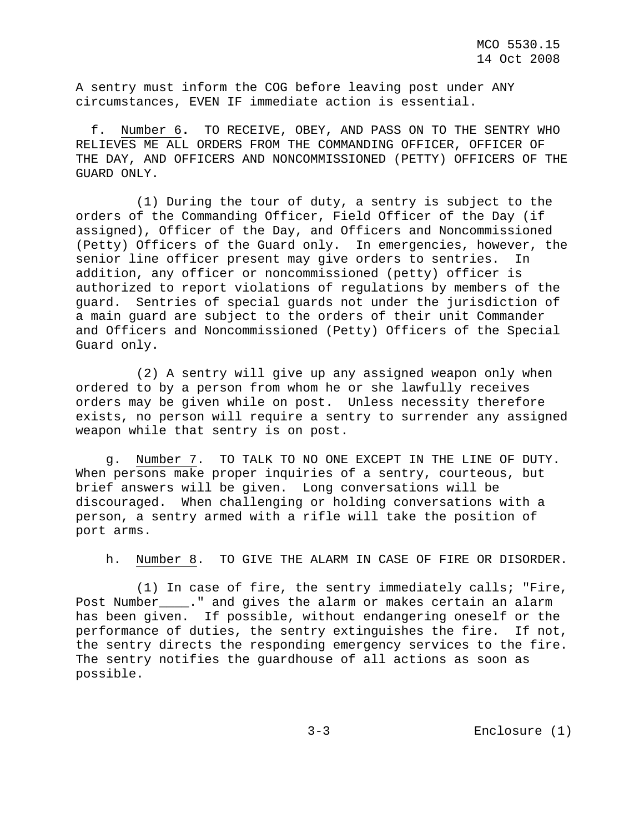A sentry must inform the COG before leaving post under ANY circumstances, EVEN IF immediate action is essential.

 f. Number 6**.** TO RECEIVE, OBEY, AND PASS ON TO THE SENTRY WHO RELIEVES ME ALL ORDERS FROM THE COMMANDING OFFICER, OFFICER OF THE DAY, AND OFFICERS AND NONCOMMISSIONED (PETTY) OFFICERS OF THE GUARD ONLY.

 (1) During the tour of duty, a sentry is subject to the orders of the Commanding Officer, Field Officer of the Day (if assigned), Officer of the Day, and Officers and Noncommissioned (Petty) Officers of the Guard only. In emergencies, however, the senior line officer present may give orders to sentries. In addition, any officer or noncommissioned (petty) officer is authorized to report violations of regulations by members of the guard. Sentries of special guards not under the jurisdiction of a main guard are subject to the orders of their unit Commander and Officers and Noncommissioned (Petty) Officers of the Special Guard only.

 (2) A sentry will give up any assigned weapon only when ordered to by a person from whom he or she lawfully receives orders may be given while on post. Unless necessity therefore exists, no person will require a sentry to surrender any assigned weapon while that sentry is on post.

 g. Number 7. TO TALK TO NO ONE EXCEPT IN THE LINE OF DUTY. When persons make proper inquiries of a sentry, courteous, but brief answers will be given. Long conversations will be discouraged. When challenging or holding conversations with a person, a sentry armed with a rifle will take the position of port arms.

h. Number 8. TO GIVE THE ALARM IN CASE OF FIRE OR DISORDER.

 (1) In case of fire, the sentry immediately calls; "Fire, Post Number\_\_\_\_." and gives the alarm or makes certain an alarm has been given. If possible, without endangering oneself or the performance of duties, the sentry extinguishes the fire. If not, the sentry directs the responding emergency services to the fire. The sentry notifies the guardhouse of all actions as soon as possible.

3-3 Enclosure (1)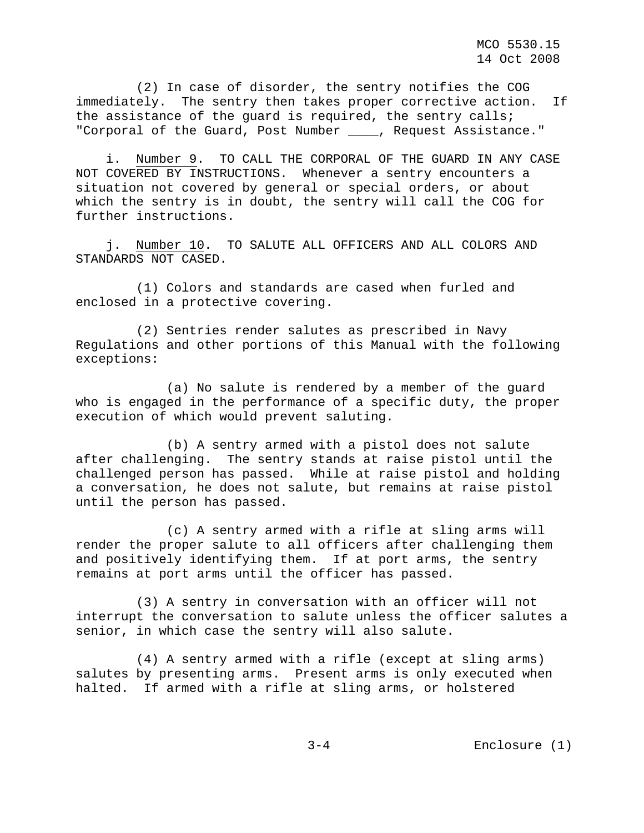(2) In case of disorder, the sentry notifies the COG immediately. The sentry then takes proper corrective action. If the assistance of the guard is required, the sentry calls; "Corporal of the Guard, Post Number \_\_\_\_, Request Assistance."

 i. Number 9. TO CALL THE CORPORAL OF THE GUARD IN ANY CASE NOT COVERED BY INSTRUCTIONS. Whenever a sentry encounters a situation not covered by general or special orders, or about which the sentry is in doubt, the sentry will call the COG for further instructions.

 j. Number 10. TO SALUTE ALL OFFICERS AND ALL COLORS AND STANDARDS NOT CASED.

 (1) Colors and standards are cased when furled and enclosed in a protective covering.

 (2) Sentries render salutes as prescribed in Navy Regulations and other portions of this Manual with the following exceptions:

 (a) No salute is rendered by a member of the guard who is engaged in the performance of a specific duty, the proper execution of which would prevent saluting.

 (b) A sentry armed with a pistol does not salute after challenging. The sentry stands at raise pistol until the challenged person has passed. While at raise pistol and holding a conversation, he does not salute, but remains at raise pistol until the person has passed.

 (c) A sentry armed with a rifle at sling arms will render the proper salute to all officers after challenging them and positively identifying them. If at port arms, the sentry remains at port arms until the officer has passed.

 (3) A sentry in conversation with an officer will not interrupt the conversation to salute unless the officer salutes a senior, in which case the sentry will also salute.

 (4) A sentry armed with a rifle (except at sling arms) salutes by presenting arms. Present arms is only executed when halted. If armed with a rifle at sling arms, or holstered

3-4 Enclosure (1)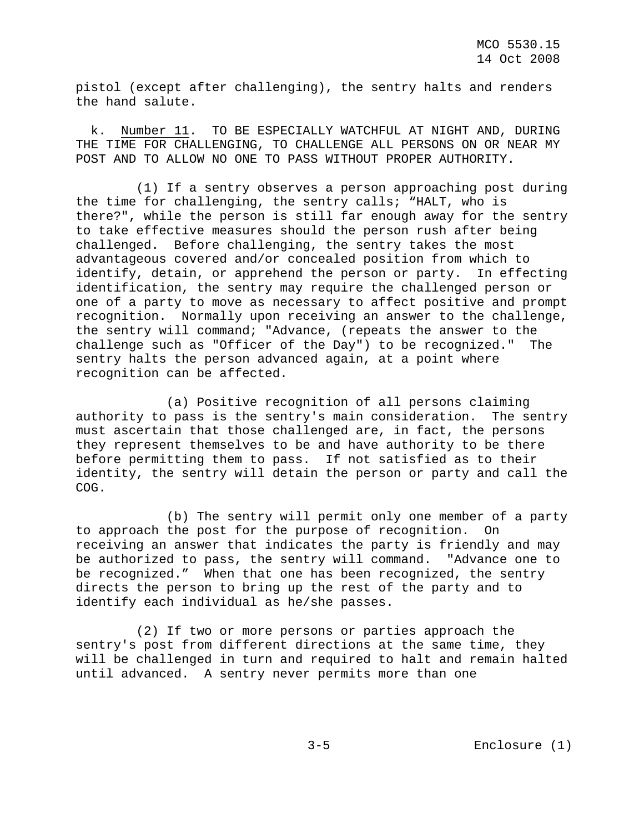pistol (except after challenging), the sentry halts and renders the hand salute.

 k. Number 11. TO BE ESPECIALLY WATCHFUL AT NIGHT AND, DURING THE TIME FOR CHALLENGING, TO CHALLENGE ALL PERSONS ON OR NEAR MY POST AND TO ALLOW NO ONE TO PASS WITHOUT PROPER AUTHORITY.

 (1) If a sentry observes a person approaching post during the time for challenging, the sentry calls; "HALT, who is there?", while the person is still far enough away for the sentry to take effective measures should the person rush after being challenged. Before challenging, the sentry takes the most advantageous covered and/or concealed position from which to identify, detain, or apprehend the person or party. In effecting identification, the sentry may require the challenged person or one of a party to move as necessary to affect positive and prompt recognition. Normally upon receiving an answer to the challenge, the sentry will command; "Advance, (repeats the answer to the challenge such as "Officer of the Day") to be recognized." The sentry halts the person advanced again, at a point where recognition can be affected.

 (a) Positive recognition of all persons claiming authority to pass is the sentry's main consideration. The sentry must ascertain that those challenged are, in fact, the persons they represent themselves to be and have authority to be there before permitting them to pass. If not satisfied as to their identity, the sentry will detain the person or party and call the COG.

 (b) The sentry will permit only one member of a party to approach the post for the purpose of recognition. On receiving an answer that indicates the party is friendly and may be authorized to pass, the sentry will command. "Advance one to be recognized." When that one has been recognized, the sentry directs the person to bring up the rest of the party and to identify each individual as he/she passes.

 (2) If two or more persons or parties approach the sentry's post from different directions at the same time, they will be challenged in turn and required to halt and remain halted until advanced. A sentry never permits more than one

3-5 Enclosure (1)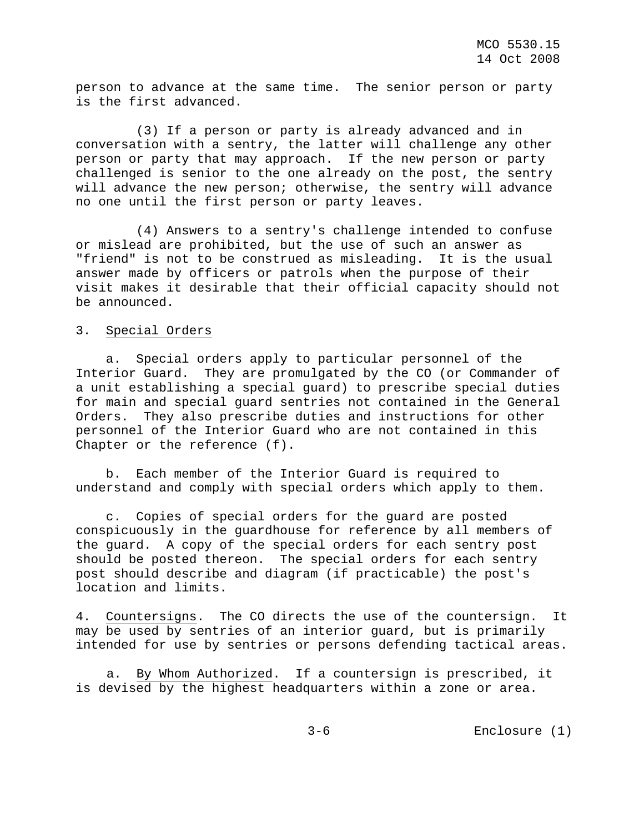person to advance at the same time. The senior person or party is the first advanced.

 (3) If a person or party is already advanced and in conversation with a sentry, the latter will challenge any other person or party that may approach. If the new person or party challenged is senior to the one already on the post, the sentry will advance the new person; otherwise, the sentry will advance no one until the first person or party leaves.

 (4) Answers to a sentry's challenge intended to confuse or mislead are prohibited, but the use of such an answer as "friend" is not to be construed as misleading. It is the usual answer made by officers or patrols when the purpose of their visit makes it desirable that their official capacity should not be announced.

# 3. Special Orders

 a. Special orders apply to particular personnel of the Interior Guard. They are promulgated by the CO (or Commander of a unit establishing a special guard) to prescribe special duties for main and special guard sentries not contained in the General Orders. They also prescribe duties and instructions for other personnel of the Interior Guard who are not contained in this Chapter or the reference (f).

 b. Each member of the Interior Guard is required to understand and comply with special orders which apply to them.

 c. Copies of special orders for the guard are posted conspicuously in the guardhouse for reference by all members of the guard. A copy of the special orders for each sentry post should be posted thereon. The special orders for each sentry post should describe and diagram (if practicable) the post's location and limits.

4. Countersigns. The CO directs the use of the countersign. It may be used by sentries of an interior guard, but is primarily intended for use by sentries or persons defending tactical areas.

a. By Whom Authorized. If a countersign is prescribed, it is devised by the highest headquarters within a zone or area.

3-6 Enclosure (1)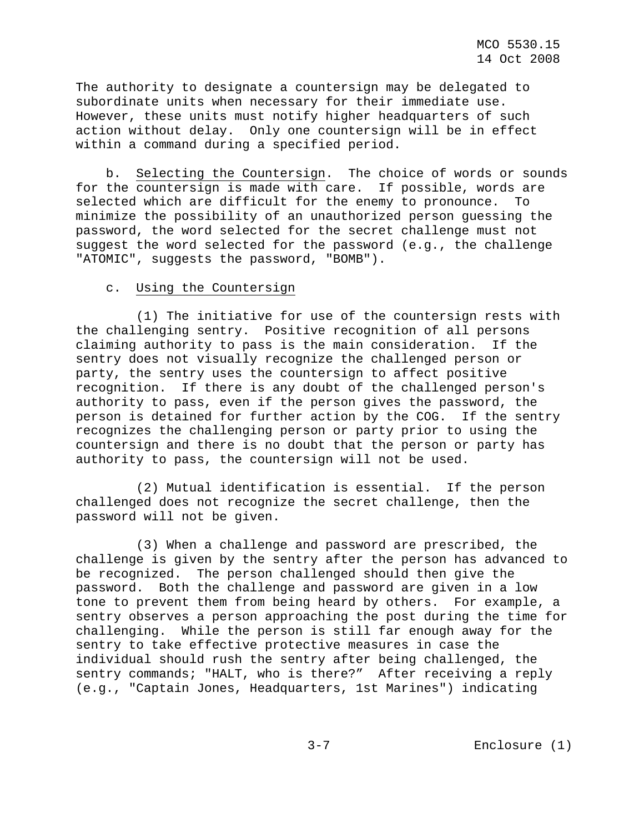The authority to designate a countersign may be delegated to subordinate units when necessary for their immediate use. However, these units must notify higher headquarters of such action without delay. Only one countersign will be in effect within a command during a specified period.

 b. Selecting the Countersign. The choice of words or sounds for the countersign is made with care. If possible, words are selected which are difficult for the enemy to pronounce. To minimize the possibility of an unauthorized person guessing the password, the word selected for the secret challenge must not suggest the word selected for the password (e.g., the challenge "ATOMIC", suggests the password, "BOMB").

# c. Using the Countersign

 (1) The initiative for use of the countersign rests with the challenging sentry. Positive recognition of all persons claiming authority to pass is the main consideration. If the sentry does not visually recognize the challenged person or party, the sentry uses the countersign to affect positive recognition. If there is any doubt of the challenged person's authority to pass, even if the person gives the password, the person is detained for further action by the COG. If the sentry recognizes the challenging person or party prior to using the countersign and there is no doubt that the person or party has authority to pass, the countersign will not be used.

 (2) Mutual identification is essential. If the person challenged does not recognize the secret challenge, then the password will not be given.

 (3) When a challenge and password are prescribed, the challenge is given by the sentry after the person has advanced to be recognized. The person challenged should then give the password. Both the challenge and password are given in a low tone to prevent them from being heard by others. For example, a sentry observes a person approaching the post during the time for challenging. While the person is still far enough away for the sentry to take effective protective measures in case the individual should rush the sentry after being challenged, the sentry commands; "HALT, who is there?" After receiving a reply (e.g., "Captain Jones, Headquarters, 1st Marines") indicating

3-7 Enclosure (1)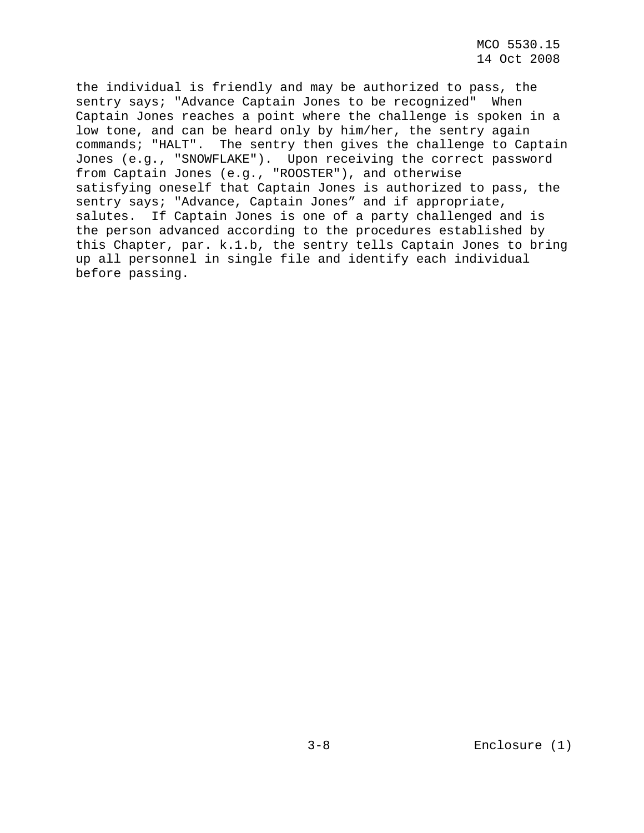MCO 5530.15 14 Oct 2008

the individual is friendly and may be authorized to pass, the sentry says; "Advance Captain Jones to be recognized" When Captain Jones reaches a point where the challenge is spoken in a low tone, and can be heard only by him/her, the sentry again commands; "HALT". The sentry then gives the challenge to Captain Jones (e.g., "SNOWFLAKE"). Upon receiving the correct password from Captain Jones (e.g., "ROOSTER"), and otherwise satisfying oneself that Captain Jones is authorized to pass, the sentry says; "Advance, Captain Jones" and if appropriate, salutes. If Captain Jones is one of a party challenged and is the person advanced according to the procedures established by this Chapter, par. k.1.b, the sentry tells Captain Jones to bring up all personnel in single file and identify each individual before passing.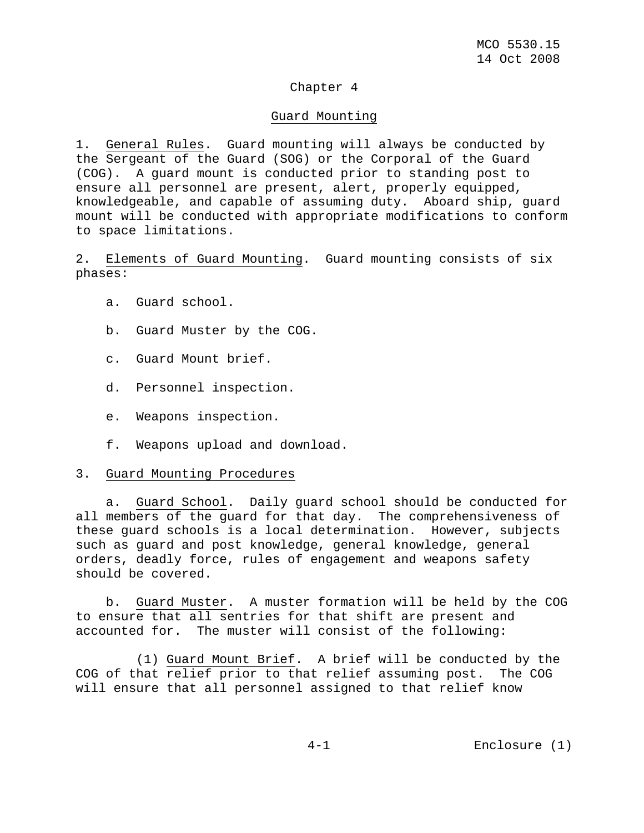# Chapter 4

# Guard Mounting

1. General Rules. Guard mounting will always be conducted by the Sergeant of the Guard (SOG) or the Corporal of the Guard (COG). A guard mount is conducted prior to standing post to ensure all personnel are present, alert, properly equipped, knowledgeable, and capable of assuming duty. Aboard ship, guard mount will be conducted with appropriate modifications to conform to space limitations.

2. Elements of Guard Mounting. Guard mounting consists of six phases:

- a. Guard school.
- b. Guard Muster by the COG.
- c. Guard Mount brief.
- d. Personnel inspection.
- e. Weapons inspection.
- f. Weapons upload and download.

# 3. Guard Mounting Procedures

 a. Guard School. Daily guard school should be conducted for all members of the guard for that day. The comprehensiveness of these guard schools is a local determination. However, subjects such as guard and post knowledge, general knowledge, general orders, deadly force, rules of engagement and weapons safety should be covered.

 b. Guard Muster. A muster formation will be held by the COG to ensure that all sentries for that shift are present and accounted for. The muster will consist of the following:

 (1) Guard Mount Brief. A brief will be conducted by the COG of that relief prior to that relief assuming post. The COG will ensure that all personnel assigned to that relief know

4-1 Enclosure (1)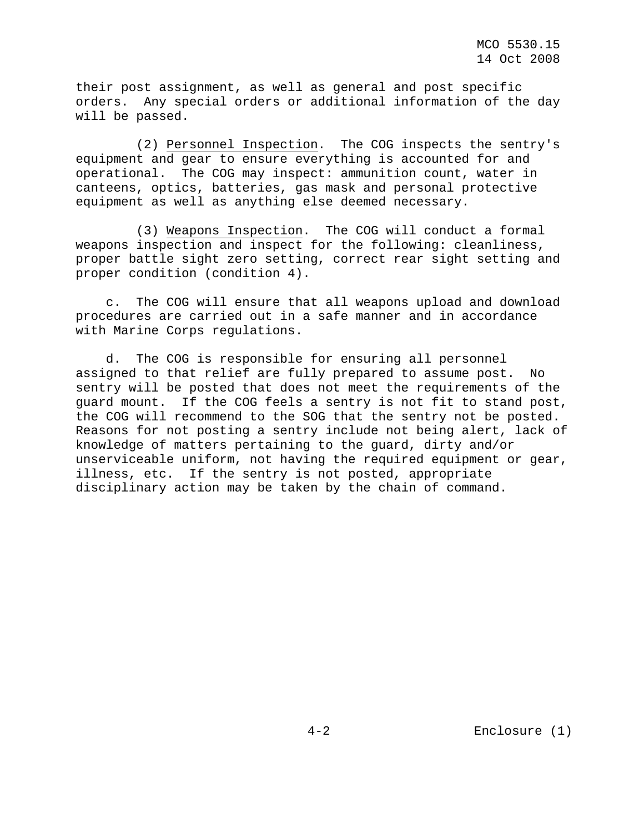their post assignment, as well as general and post specific orders. Any special orders or additional information of the day will be passed.

 (2) Personnel Inspection. The COG inspects the sentry's equipment and gear to ensure everything is accounted for and operational. The COG may inspect: ammunition count, water in canteens, optics, batteries, gas mask and personal protective equipment as well as anything else deemed necessary.

 (3) Weapons Inspection. The COG will conduct a formal weapons inspection and inspect for the following: cleanliness, proper battle sight zero setting, correct rear sight setting and proper condition (condition 4).

 c. The COG will ensure that all weapons upload and download procedures are carried out in a safe manner and in accordance with Marine Corps regulations.

 d. The COG is responsible for ensuring all personnel assigned to that relief are fully prepared to assume post. No sentry will be posted that does not meet the requirements of the guard mount. If the COG feels a sentry is not fit to stand post, the COG will recommend to the SOG that the sentry not be posted. Reasons for not posting a sentry include not being alert, lack of knowledge of matters pertaining to the guard, dirty and/or unserviceable uniform, not having the required equipment or gear, illness, etc. If the sentry is not posted, appropriate disciplinary action may be taken by the chain of command.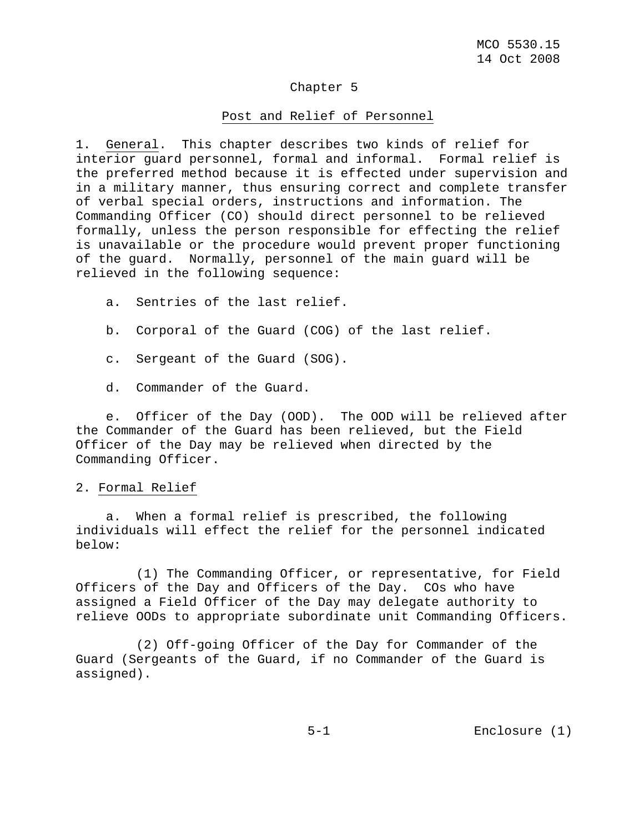#### Chapter 5

#### Post and Relief of Personnel

1. General. This chapter describes two kinds of relief for interior guard personnel, formal and informal. Formal relief is the preferred method because it is effected under supervision and in a military manner, thus ensuring correct and complete transfer of verbal special orders, instructions and information. The Commanding Officer (CO) should direct personnel to be relieved formally, unless the person responsible for effecting the relief is unavailable or the procedure would prevent proper functioning of the guard. Normally, personnel of the main guard will be relieved in the following sequence:

- a. Sentries of the last relief.
- b. Corporal of the Guard (COG) of the last relief.
- c. Sergeant of the Guard (SOG).
- d. Commander of the Guard.

 e. Officer of the Day (OOD). The OOD will be relieved after the Commander of the Guard has been relieved, but the Field Officer of the Day may be relieved when directed by the Commanding Officer.

#### 2. Formal Relief

 a. When a formal relief is prescribed, the following individuals will effect the relief for the personnel indicated below:

 (1) The Commanding Officer, or representative, for Field Officers of the Day and Officers of the Day. COs who have assigned a Field Officer of the Day may delegate authority to relieve OODs to appropriate subordinate unit Commanding Officers.

 (2) Off-going Officer of the Day for Commander of the Guard (Sergeants of the Guard, if no Commander of the Guard is assigned).

5-1 Enclosure (1)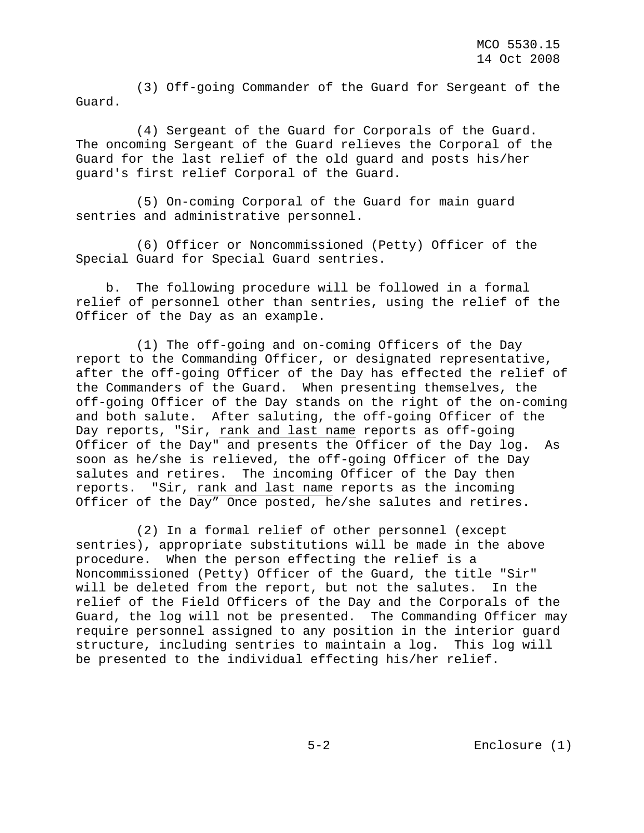(3) Off-going Commander of the Guard for Sergeant of the Guard.

 (4) Sergeant of the Guard for Corporals of the Guard. The oncoming Sergeant of the Guard relieves the Corporal of the Guard for the last relief of the old guard and posts his/her guard's first relief Corporal of the Guard.

 (5) On-coming Corporal of the Guard for main guard sentries and administrative personnel.

 (6) Officer or Noncommissioned (Petty) Officer of the Special Guard for Special Guard sentries.

 b. The following procedure will be followed in a formal relief of personnel other than sentries, using the relief of the Officer of the Day as an example.

 (1) The off-going and on-coming Officers of the Day report to the Commanding Officer, or designated representative, after the off-going Officer of the Day has effected the relief of the Commanders of the Guard. When presenting themselves, the off-going Officer of the Day stands on the right of the on-coming and both salute. After saluting, the off-going Officer of the Day reports, "Sir, rank and last name reports as off-going Officer of the Day" and presents the Officer of the Day log. As soon as he/she is relieved, the off-going Officer of the Day salutes and retires. The incoming Officer of the Day then reports. "Sir, rank and last name reports as the incoming Officer of the Day" Once posted, he/she salutes and retires.

 (2) In a formal relief of other personnel (except sentries), appropriate substitutions will be made in the above procedure. When the person effecting the relief is a Noncommissioned (Petty) Officer of the Guard, the title "Sir" will be deleted from the report, but not the salutes. In the relief of the Field Officers of the Day and the Corporals of the Guard, the log will not be presented. The Commanding Officer may require personnel assigned to any position in the interior guard structure, including sentries to maintain a log. This log will be presented to the individual effecting his/her relief.

5-2 Enclosure (1)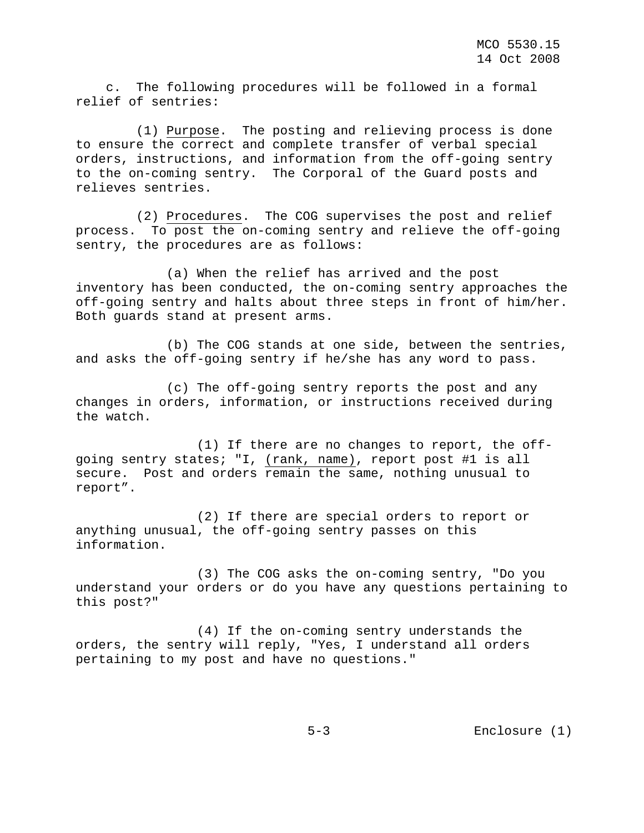c. The following procedures will be followed in a formal relief of sentries:

 (1) Purpose. The posting and relieving process is done to ensure the correct and complete transfer of verbal special orders, instructions, and information from the off-going sentry to the on-coming sentry. The Corporal of the Guard posts and relieves sentries.

 (2) Procedures. The COG supervises the post and relief process. To post the on-coming sentry and relieve the off-going sentry, the procedures are as follows:

 (a) When the relief has arrived and the post inventory has been conducted, the on-coming sentry approaches the off-going sentry and halts about three steps in front of him/her. Both guards stand at present arms.

 (b) The COG stands at one side, between the sentries, and asks the off-going sentry if he/she has any word to pass.

 (c) The off-going sentry reports the post and any changes in orders, information, or instructions received during the watch.

 (1) If there are no changes to report, the offgoing sentry states; "I, (rank, name), report post #1 is all secure. Post and orders remain the same, nothing unusual to report".

 (2) If there are special orders to report or anything unusual, the off-going sentry passes on this information.

 (3) The COG asks the on-coming sentry, "Do you understand your orders or do you have any questions pertaining to this post?"

 (4) If the on-coming sentry understands the orders, the sentry will reply, "Yes, I understand all orders pertaining to my post and have no questions."

5-3 Enclosure (1)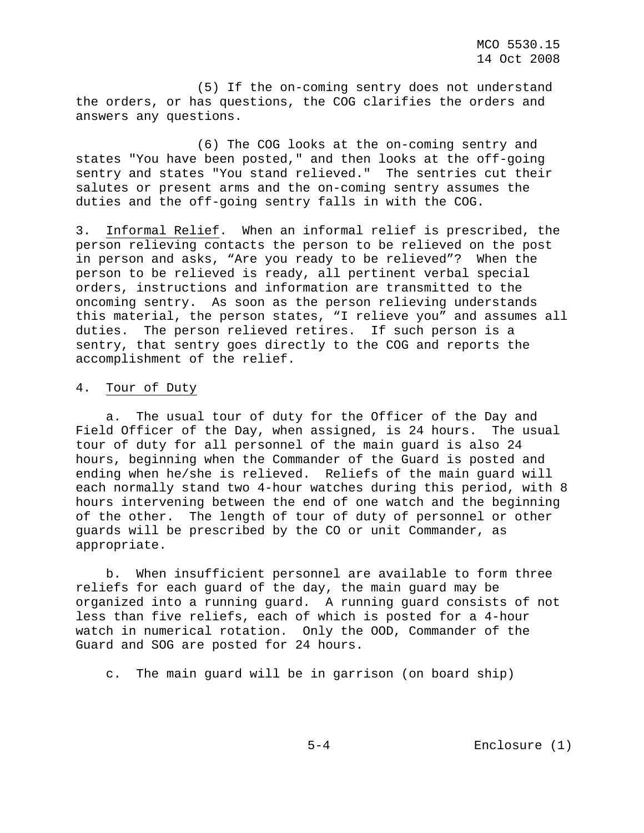(5) If the on-coming sentry does not understand the orders, or has questions, the COG clarifies the orders and answers any questions.

 (6) The COG looks at the on-coming sentry and states "You have been posted," and then looks at the off-going sentry and states "You stand relieved." The sentries cut their salutes or present arms and the on-coming sentry assumes the duties and the off-going sentry falls in with the COG.

3. Informal Relief. When an informal relief is prescribed, the person relieving contacts the person to be relieved on the post in person and asks, "Are you ready to be relieved"? When the person to be relieved is ready, all pertinent verbal special orders, instructions and information are transmitted to the oncoming sentry. As soon as the person relieving understands this material, the person states, "I relieve you" and assumes all duties. The person relieved retires. If such person is a sentry, that sentry goes directly to the COG and reports the accomplishment of the relief.

# 4. Tour of Duty

 a. The usual tour of duty for the Officer of the Day and Field Officer of the Day, when assigned, is 24 hours. The usual tour of duty for all personnel of the main guard is also 24 hours, beginning when the Commander of the Guard is posted and ending when he/she is relieved. Reliefs of the main guard will each normally stand two 4-hour watches during this period, with 8 hours intervening between the end of one watch and the beginning of the other. The length of tour of duty of personnel or other guards will be prescribed by the CO or unit Commander, as appropriate.

 b. When insufficient personnel are available to form three reliefs for each guard of the day, the main guard may be organized into a running guard. A running guard consists of not less than five reliefs, each of which is posted for a 4-hour watch in numerical rotation. Only the OOD, Commander of the Guard and SOG are posted for 24 hours.

c. The main guard will be in garrison (on board ship)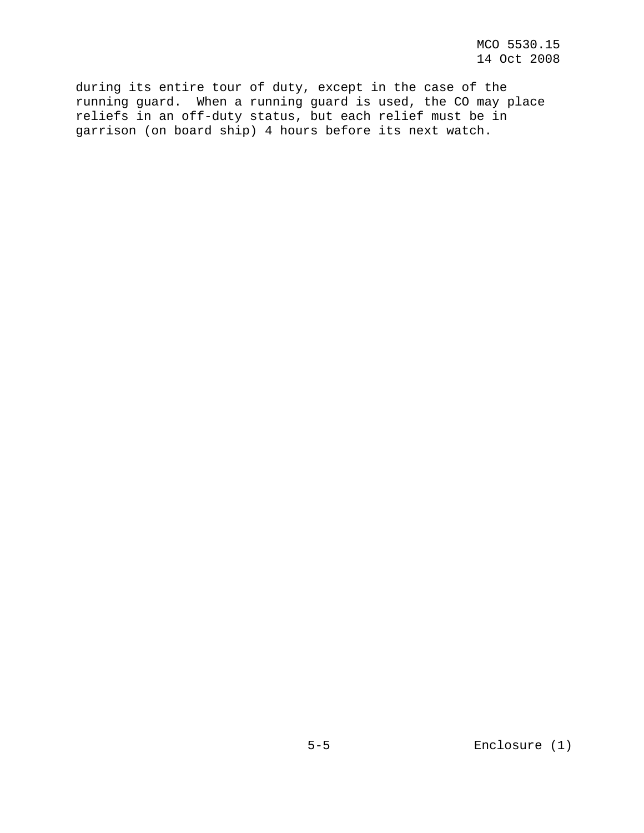during its entire tour of duty, except in the case of the running guard. When a running guard is used, the CO may place reliefs in an off-duty status, but each relief must be in garrison (on board ship) 4 hours before its next watch.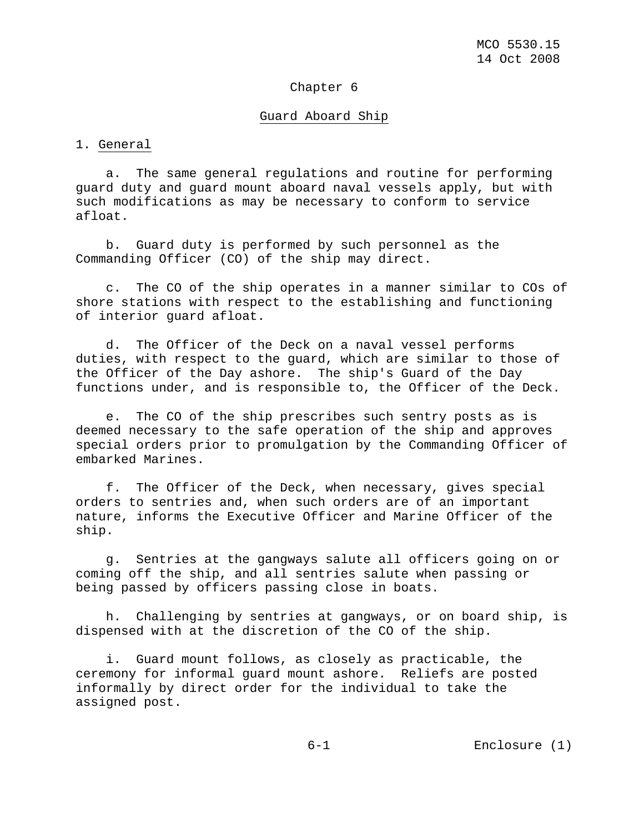#### Chapter 6

#### Guard Aboard Ship

#### 1. General

 a. The same general regulations and routine for performing guard duty and guard mount aboard naval vessels apply, but with such modifications as may be necessary to conform to service afloat.

 b. Guard duty is performed by such personnel as the Commanding Officer (CO) of the ship may direct.

 c. The CO of the ship operates in a manner similar to COs of shore stations with respect to the establishing and functioning of interior guard afloat.

 d. The Officer of the Deck on a naval vessel performs duties, with respect to the guard, which are similar to those of the Officer of the Day ashore. The ship's Guard of the Day functions under, and is responsible to, the Officer of the Deck.

 e. The CO of the ship prescribes such sentry posts as is deemed necessary to the safe operation of the ship and approves special orders prior to promulgation by the Commanding Officer of embarked Marines.

 f. The Officer of the Deck, when necessary, gives special orders to sentries and, when such orders are of an important nature, informs the Executive Officer and Marine Officer of the ship.

 g. Sentries at the gangways salute all officers going on or coming off the ship, and all sentries salute when passing or being passed by officers passing close in boats.

 h. Challenging by sentries at gangways, or on board ship, is dispensed with at the discretion of the CO of the ship.

 i. Guard mount follows, as closely as practicable, the ceremony for informal guard mount ashore. Reliefs are posted informally by direct order for the individual to take the assigned post.

6-1 Enclosure (1)